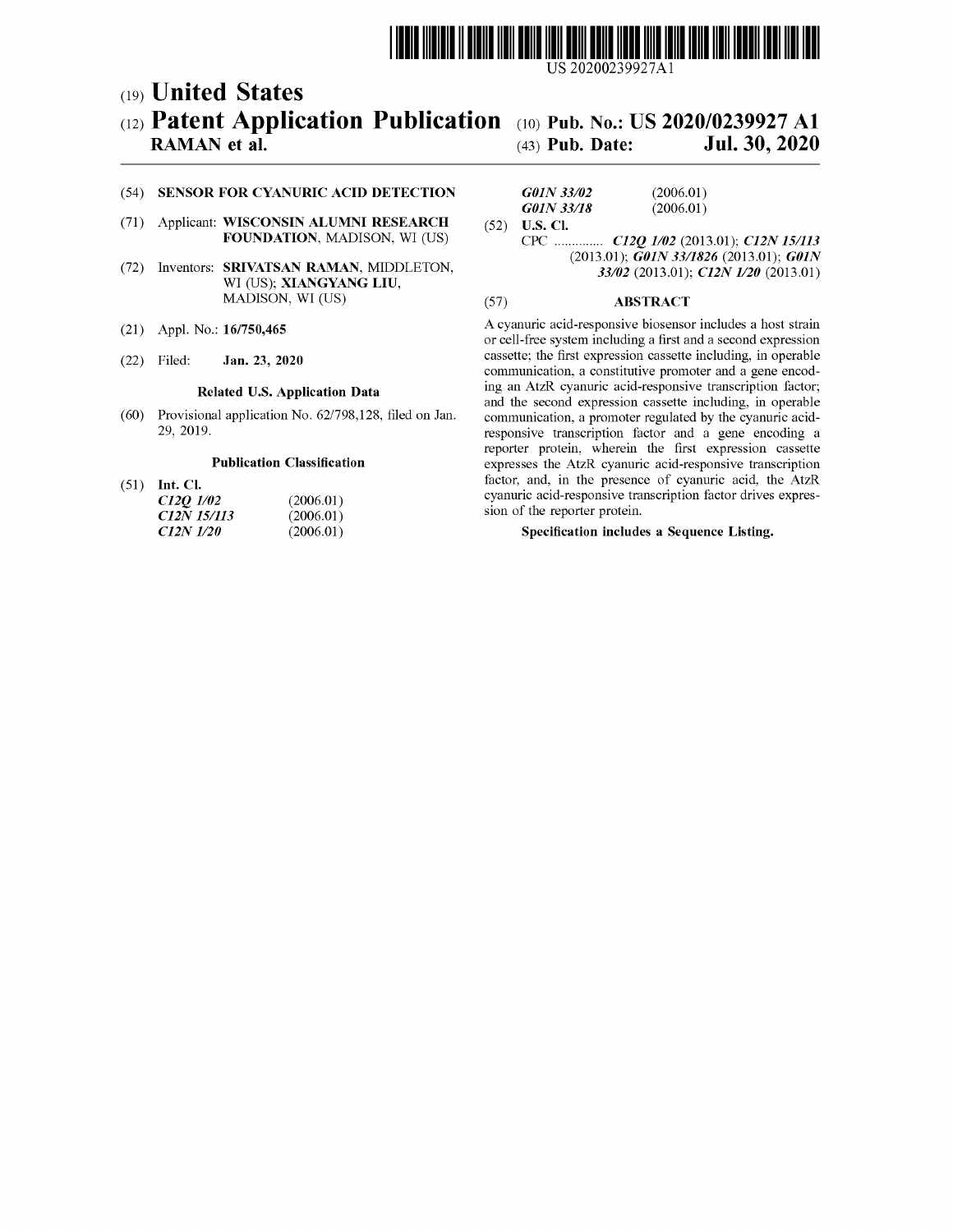

US 20200239927Al

## c19) **United States**  c12) **Patent Application Publication**  c10) **Pub.** No.: **US 2020/0239927 Al**

### **RAMAN et al.**

# (43) **Pub.** Date: **Jul. 30, 2020**

#### (54) **SENSOR FOR CYANURIC ACID DETECTION**

- (71) Applicant: **WISCONSIN ALUMNI RESEARCH FOUNDATION,** MADISON, WI (US)
- (72) Inventors: **SRIVATSAN RAMAN,** MIDDLETON, WI (US); **XIANGYANG LIU,**  MADISON, WI (US)
- (21) Appl. No.: **16/750,465**
- (22) Filed: **Jan. 23, 2020**

#### **Related U.S. Application Data**

(60) Provisional application No. 62/798,128, filed on Jan. 29, 2019.

#### **Publication Classification**

(51) **Int. Cl.** 

| C12Q 1/02   | (2006.01) |
|-------------|-----------|
| C12N 15/113 | (2006.01) |
| C12N 1/20   | (2006.01) |

#### *GOIN 33102 GOIN 33/18*  (52) **U.S. Cl.**  (2006.01) (2006.01)

CPC .............. *C12Q 1102* (2013.01); *C12N 151113*  (2013.01); *GOIN 33/1826* (2013.01); *GOIN 33102* (2013.01); *C12N 1120* (2013.01)

#### (57) **ABSTRACT**

A cyanuric acid-responsive biosensor includes a host strain or cell-free system including a first and a second expression cassette; the first expression cassette including, in operable communication, a constitutive promoter and a gene encoding an AtzR cyanuric acid-responsive transcription factor; and the second expression cassette including, in operable communication, a promoter regulated by the cyanuric acidresponsive transcription factor and a gene encoding a reporter protein, wherein the first expression cassette expresses the AtzR cyanuric acid-responsive transcription factor, and, in the presence of cyanuric acid, the AtzR cyanuric acid-responsive transcription factor drives expression of the reporter protein.

#### **Specification includes a Sequence Listing.**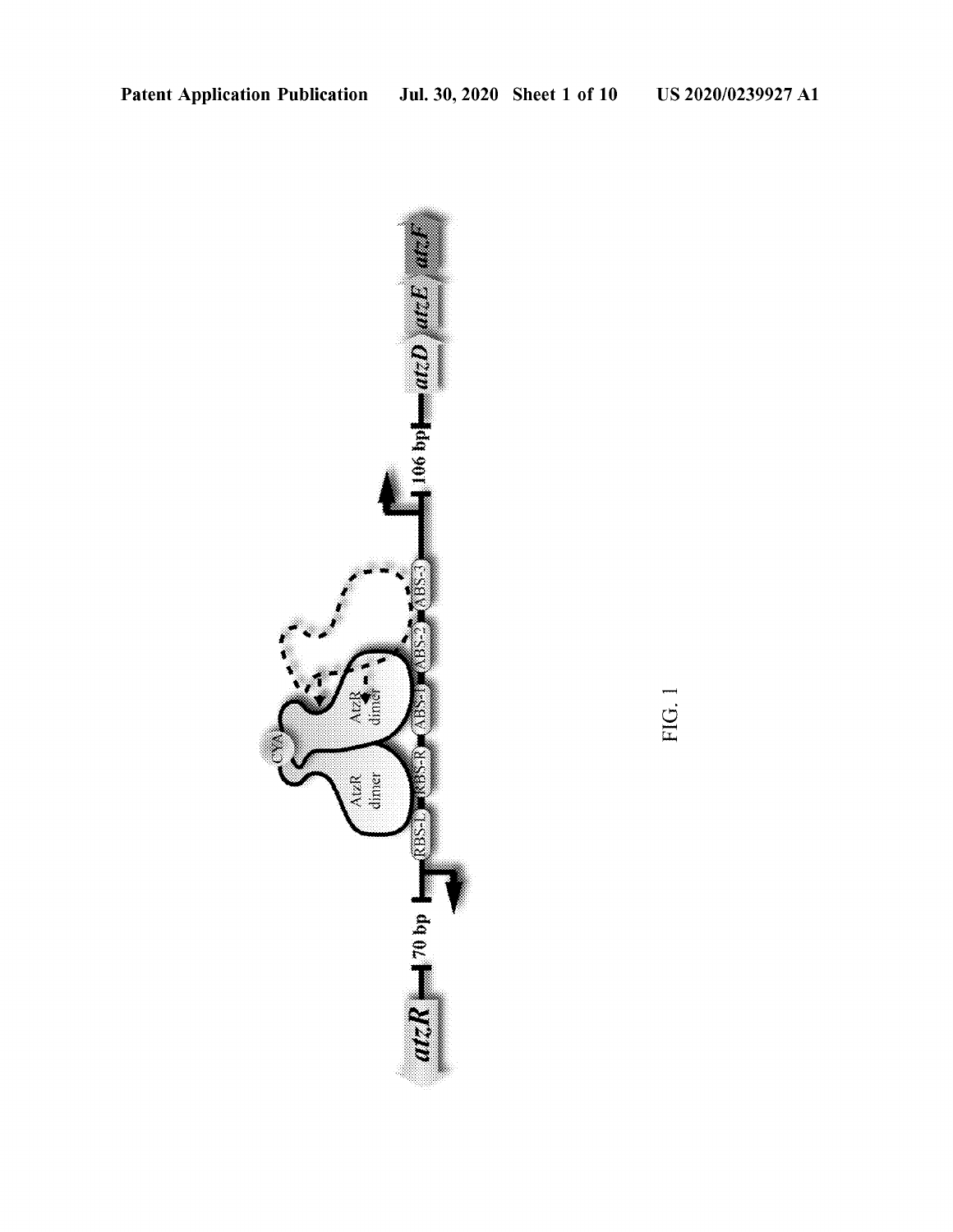

FIG. 1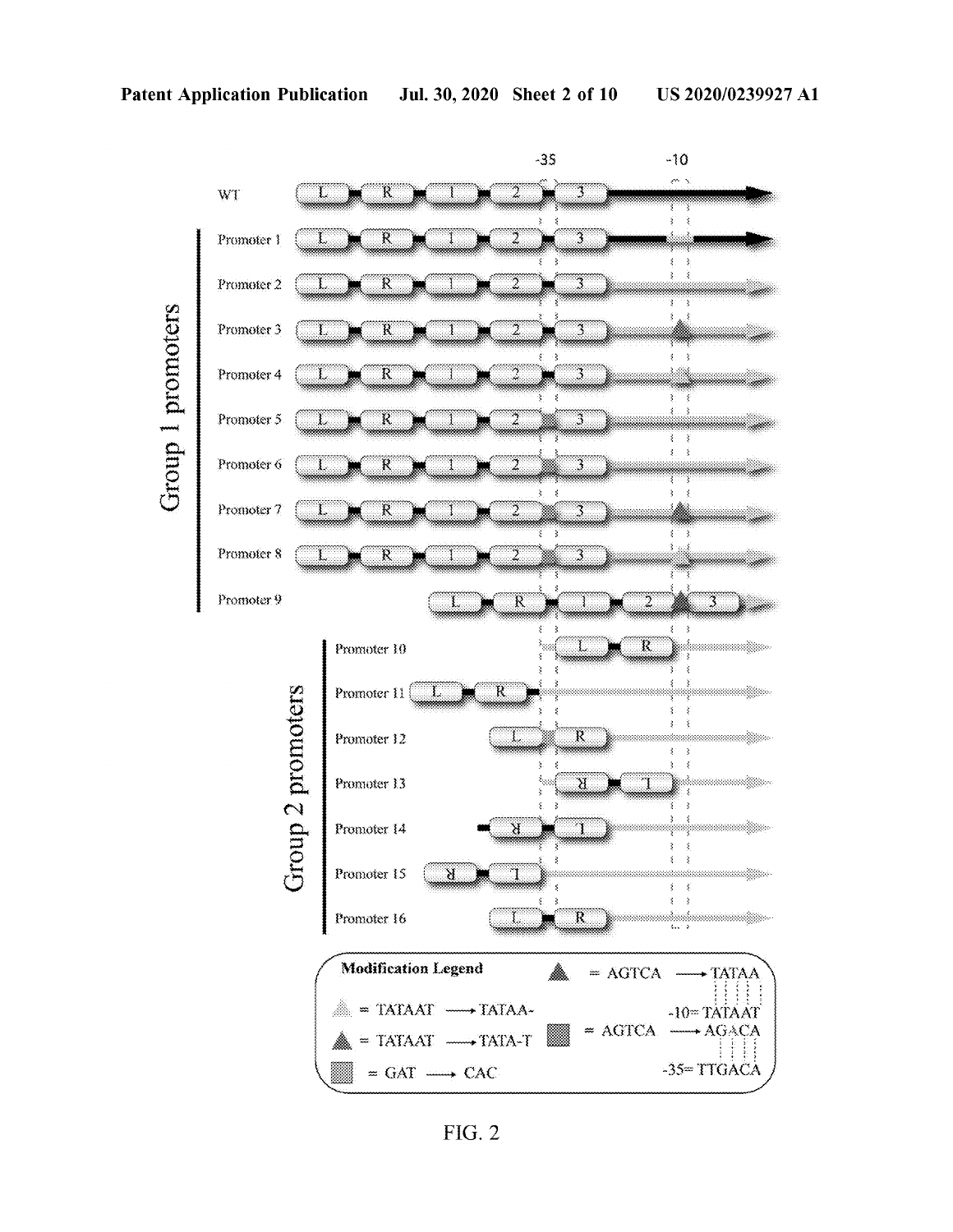

**FIG. 2**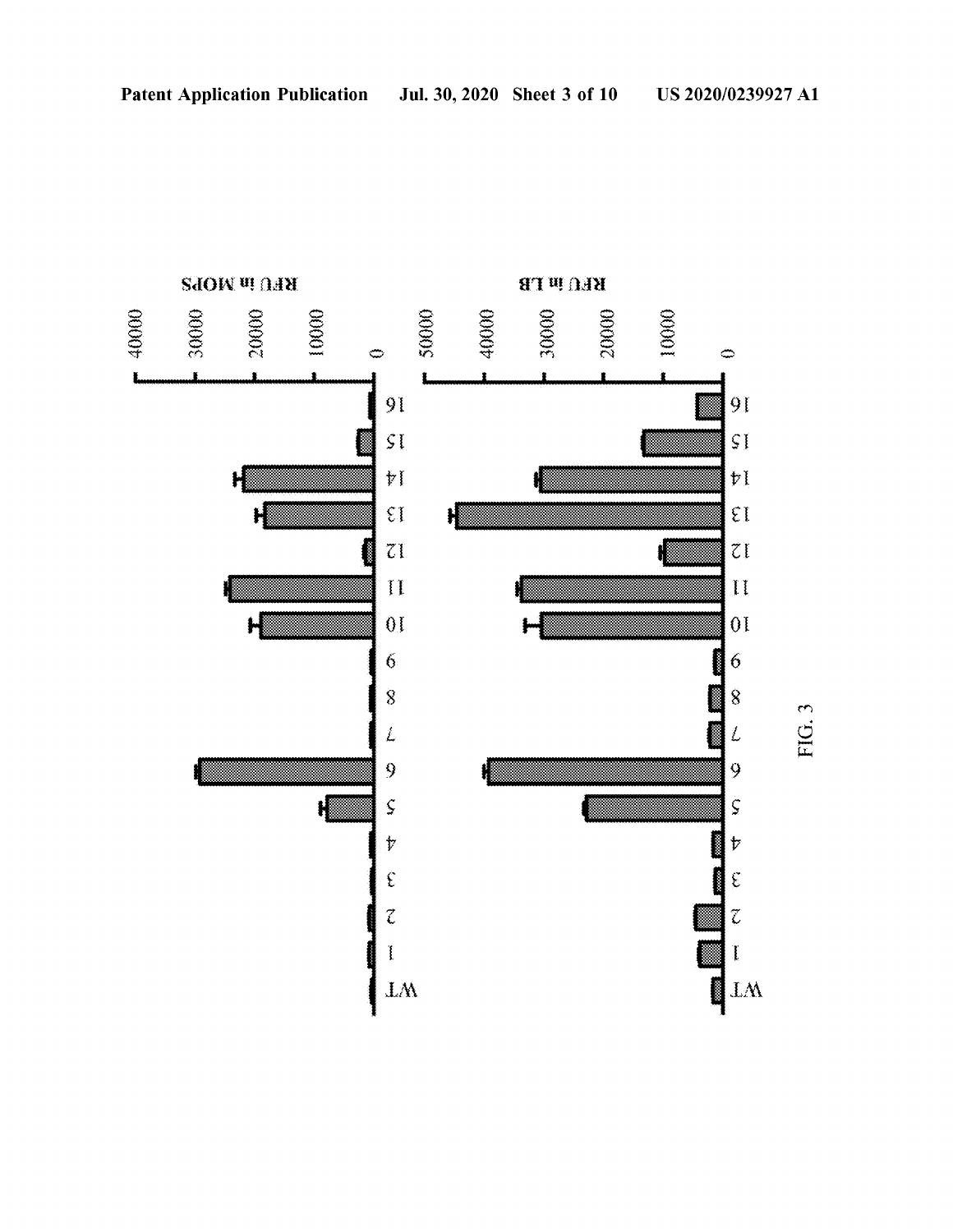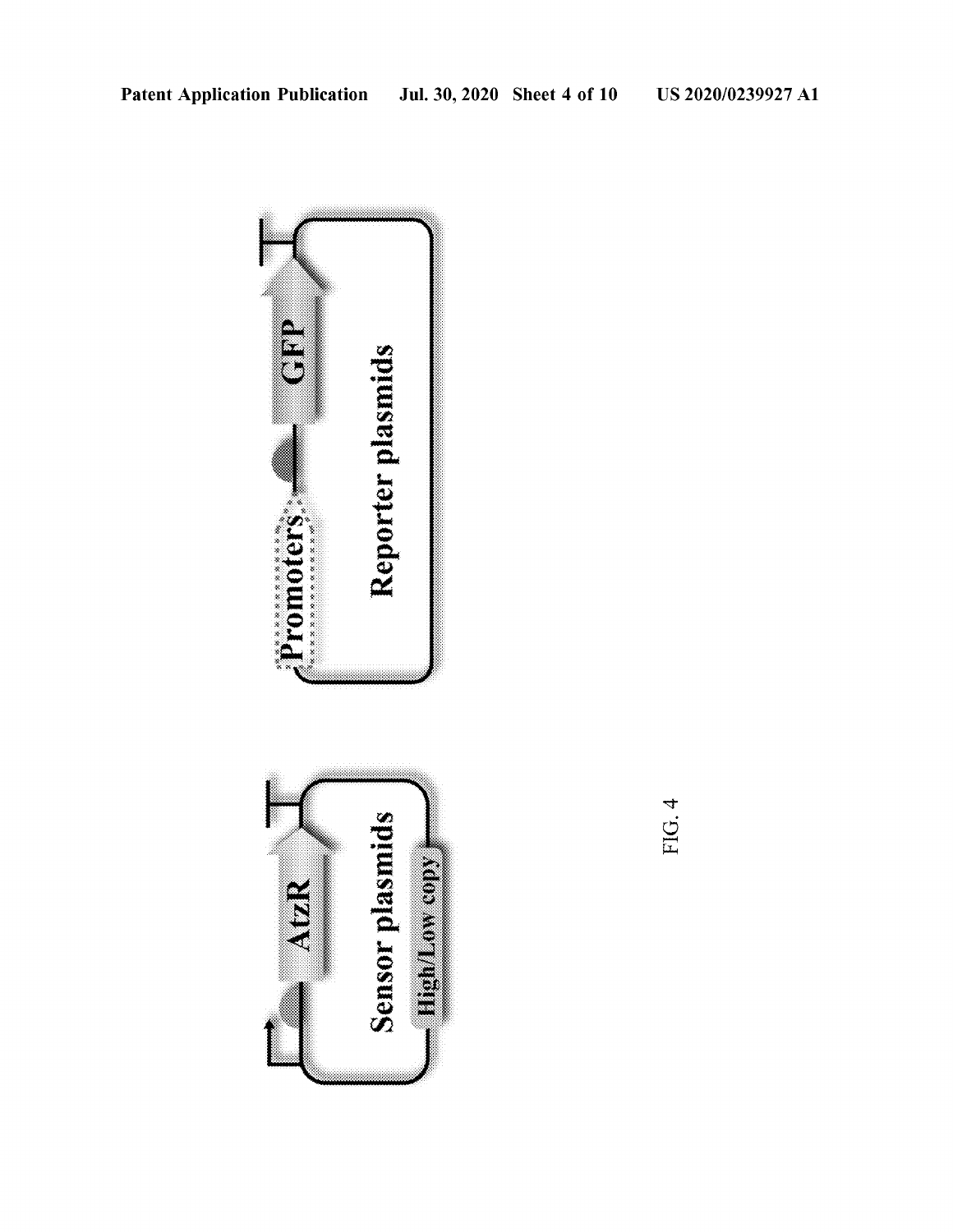

FIG. 4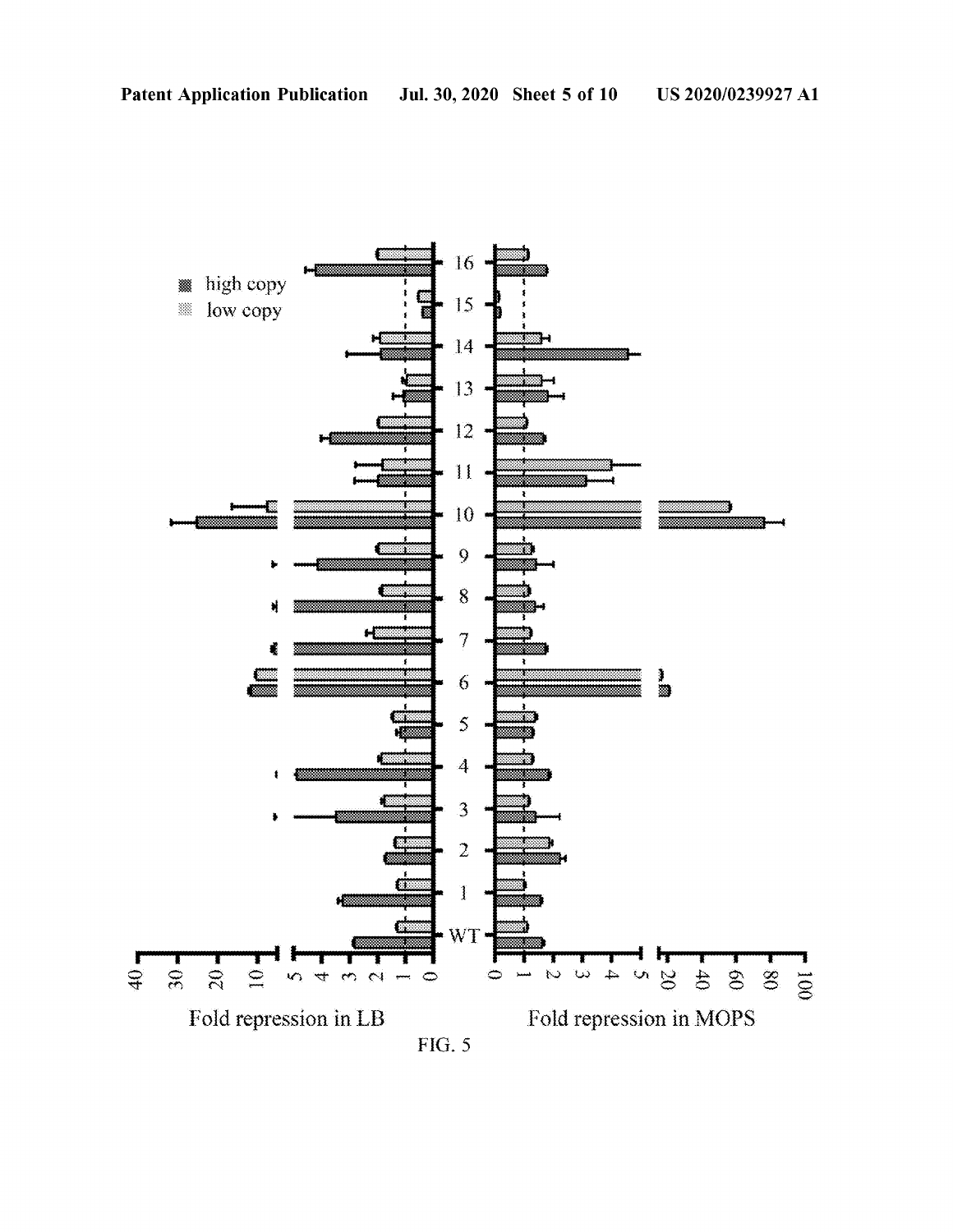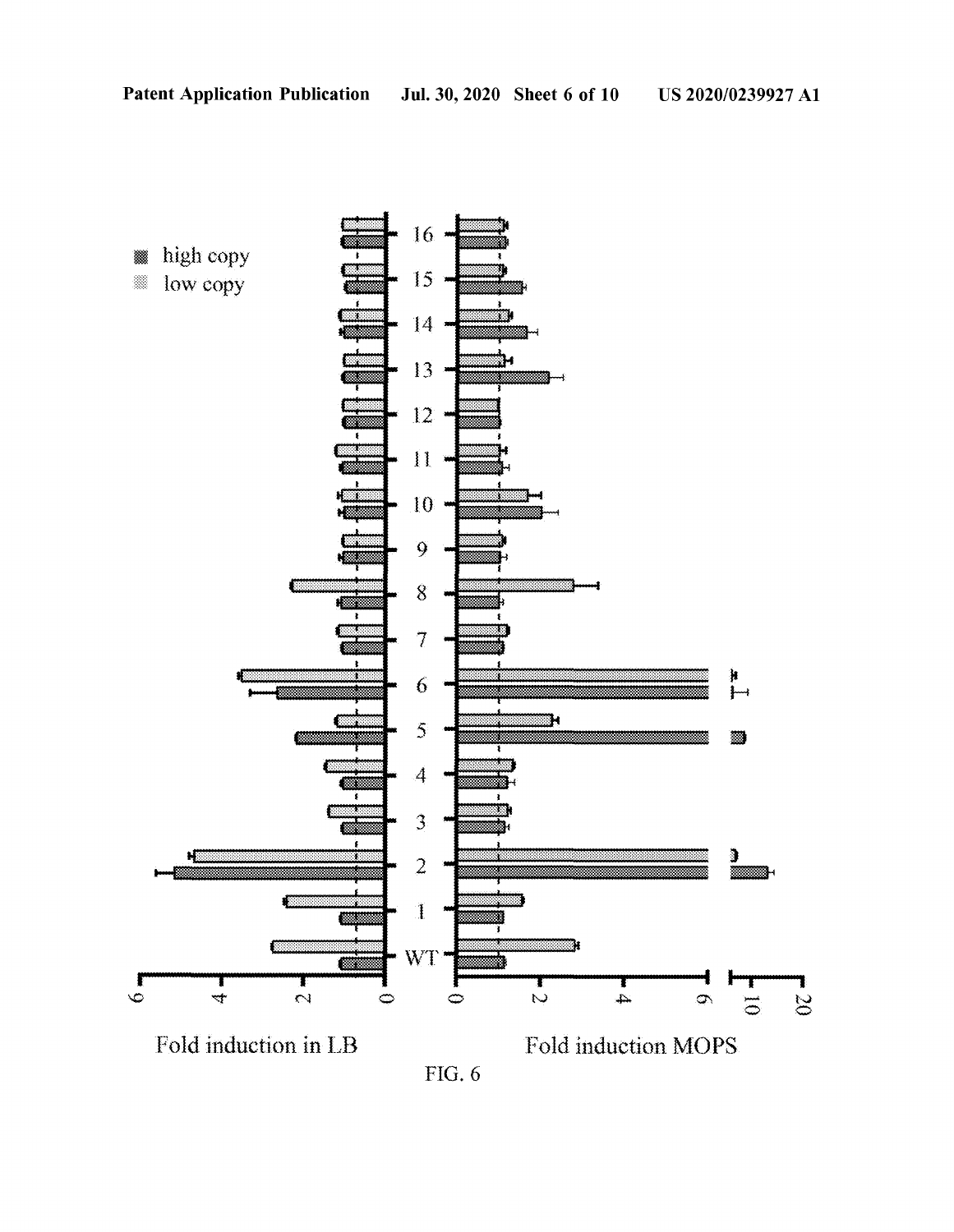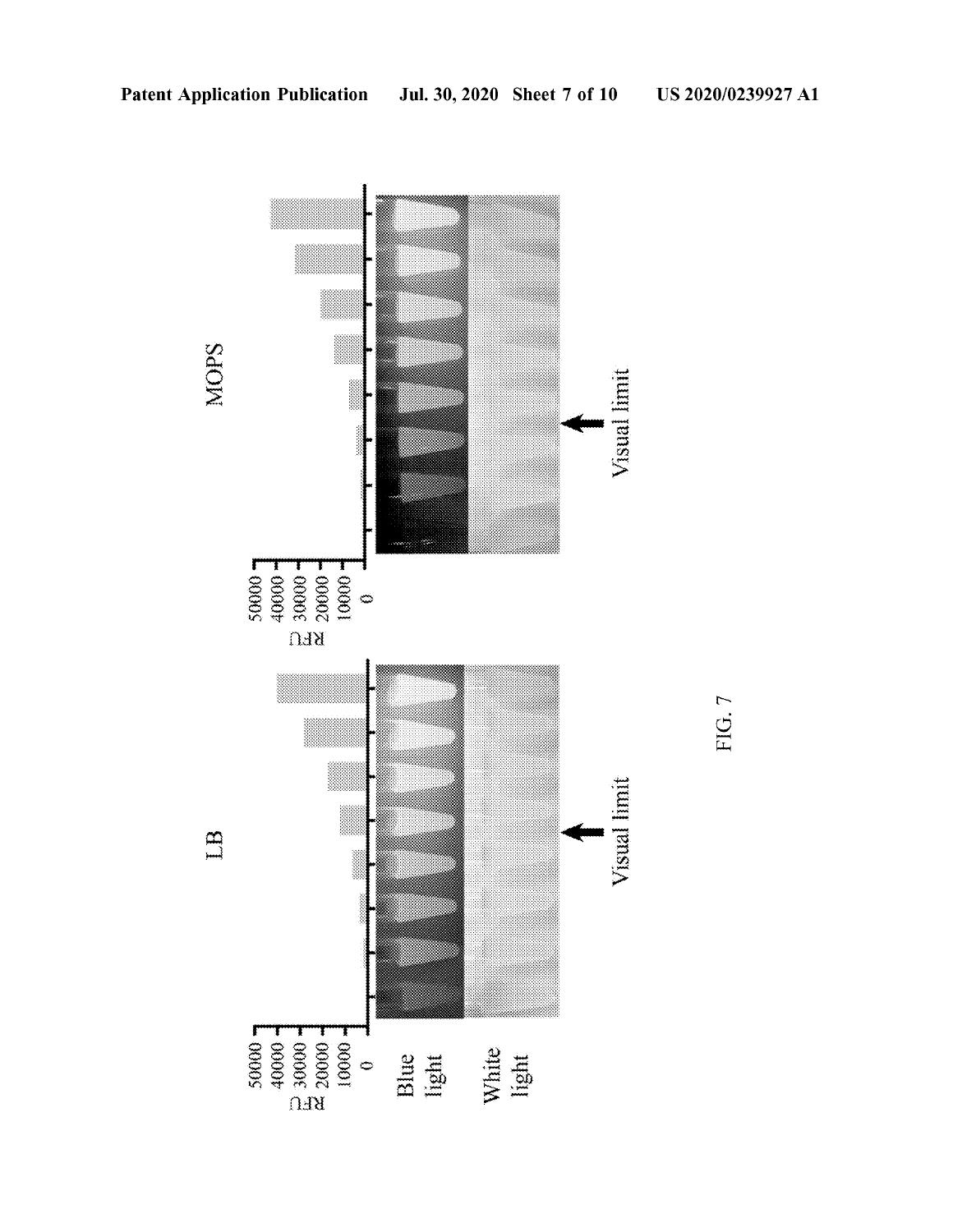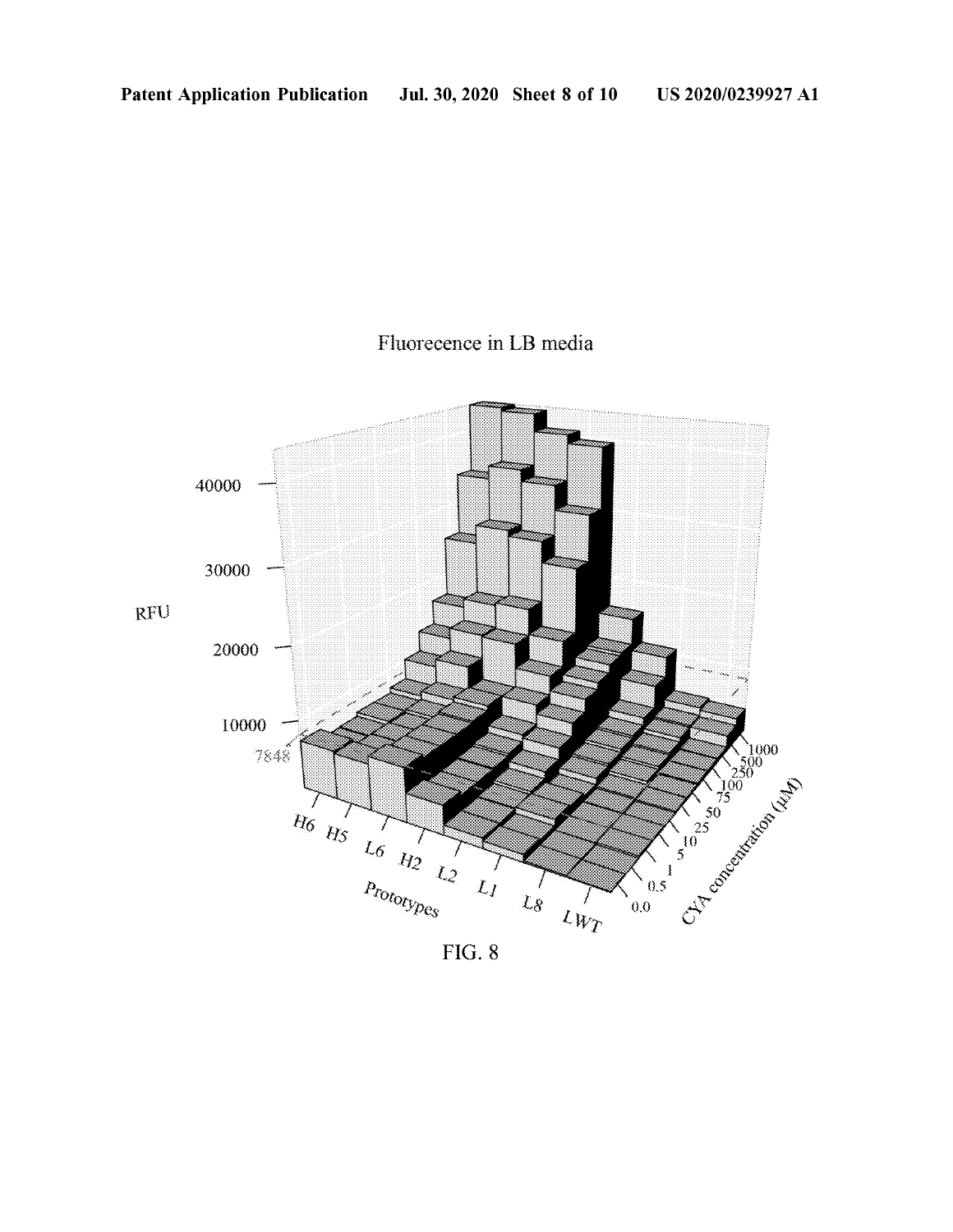### Fluorecence in LB media



FIG. 8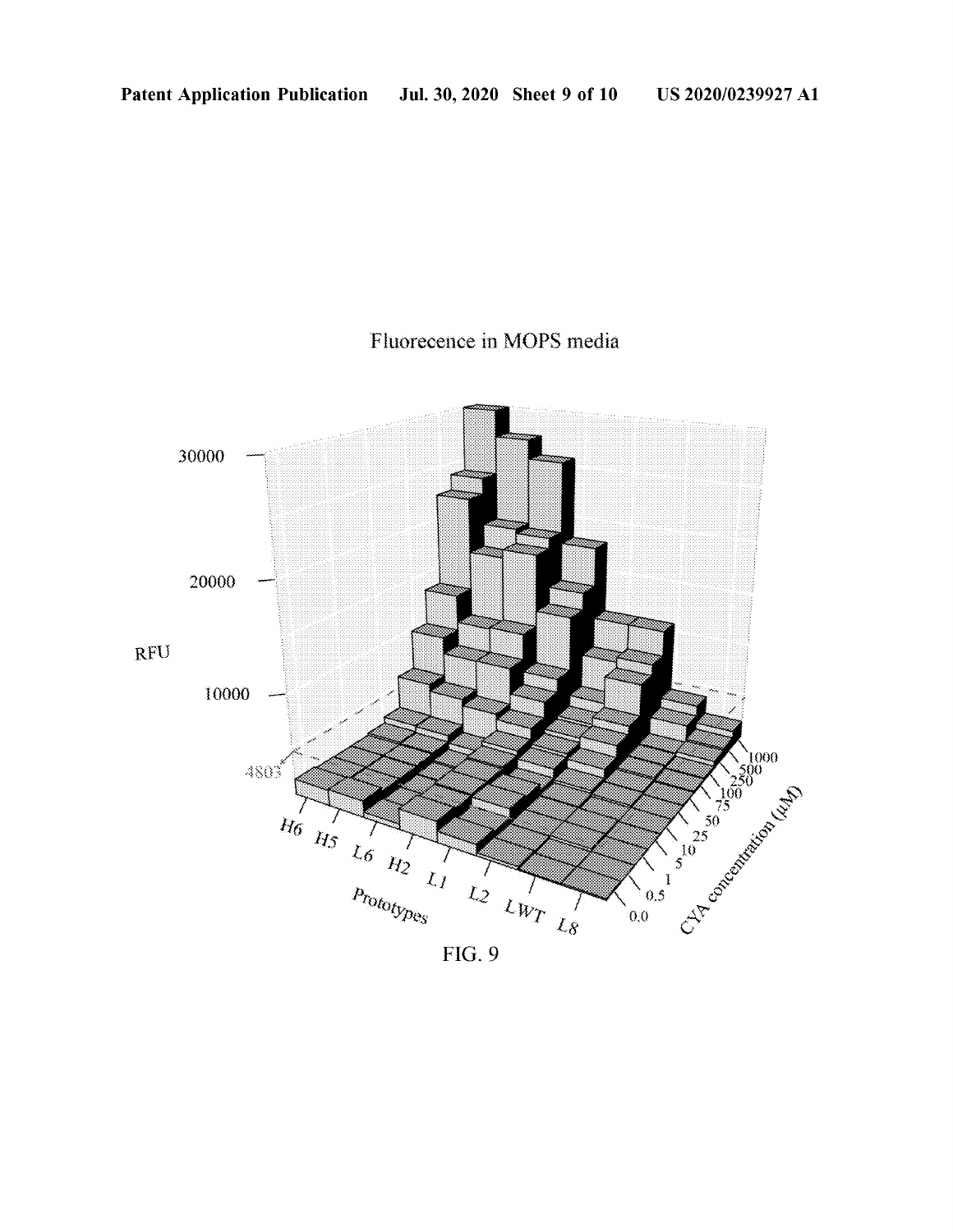## Fluorecence in MOPS media



 $FIG. 9$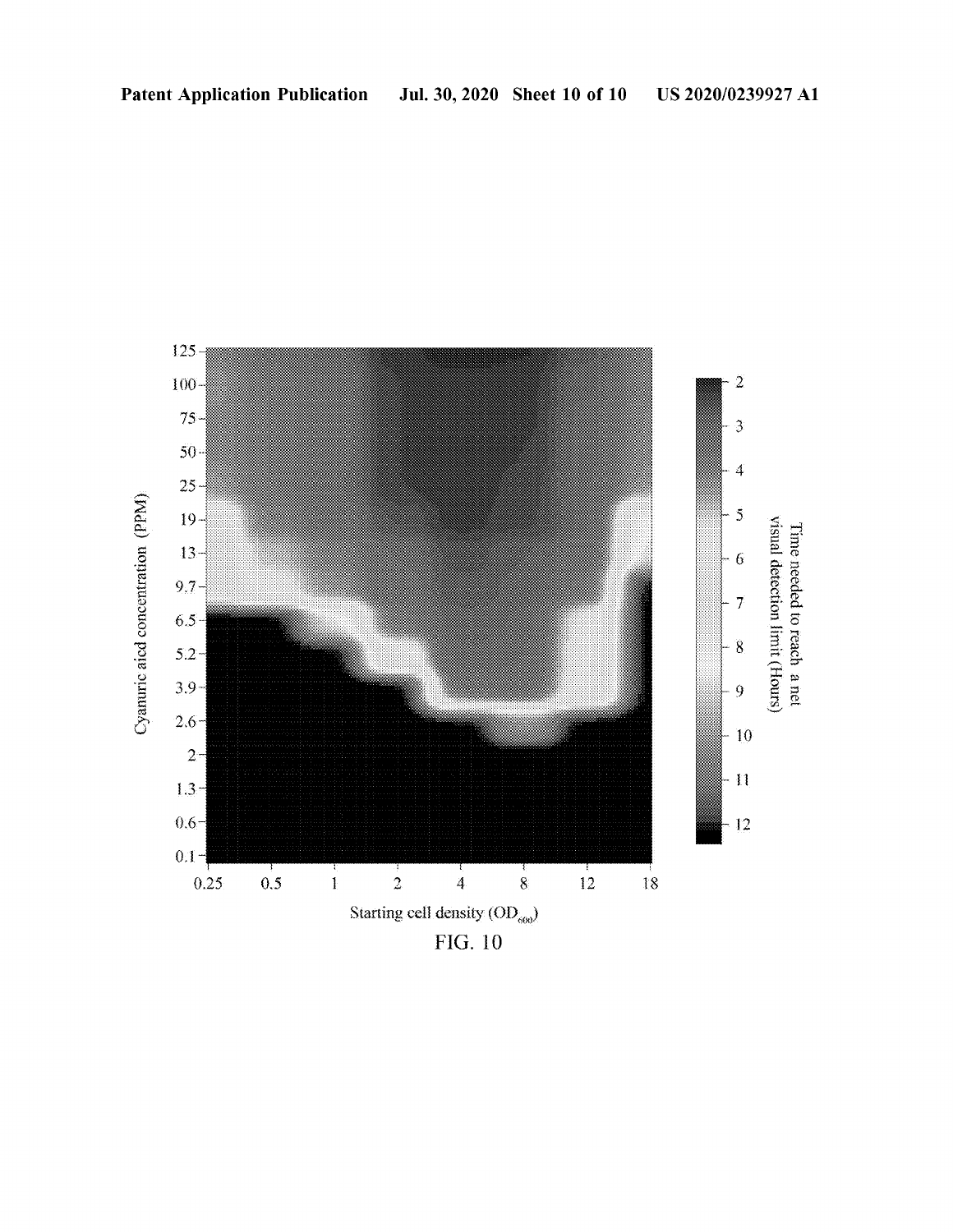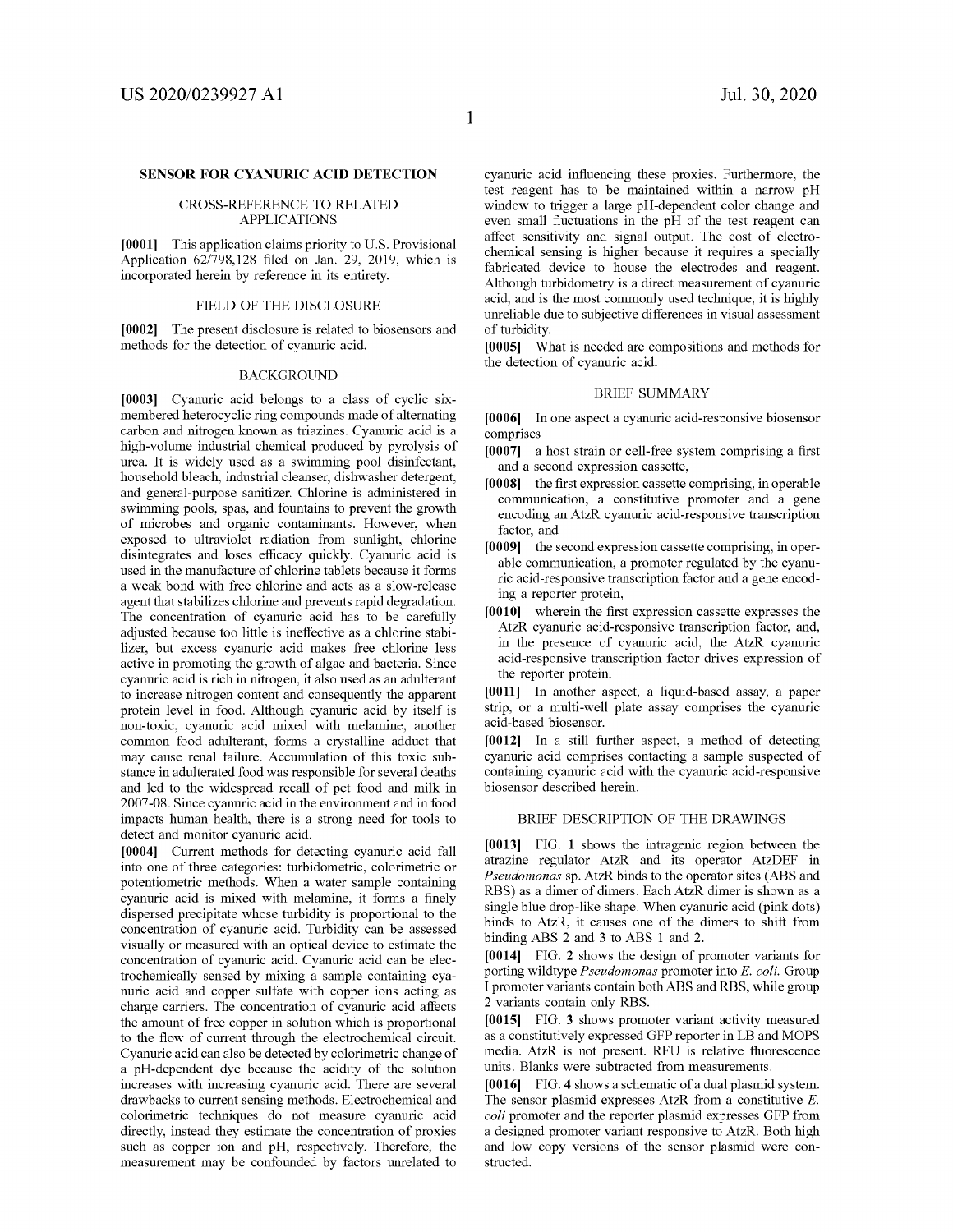#### **SENSOR FOR CYANURIC ACID DETECTION**

#### CROSS-REFERENCE TO RELATED APPLICATIONS

**[0001]** This application claims priority to U.S. Provisional Application 62/798,128 filed on Jan. 29, 2019, which is incorporated herein by reference in its entirety.

#### FIELD OF THE DISCLOSURE

**[0002]** The present disclosure is related to biosensors and methods for the detection of cyanuric acid.

#### **BACKGROUND**

**[0003]** Cyanuric acid belongs to a class of cyclic sixmembered heterocyclic ring compounds made of alternating carbon and nitrogen known as triazines. Cyanuric acid is a high-volume industrial chemical produced by pyrolysis of urea. It is widely used as a swimming pool disinfectant, household bleach, industrial cleanser, dishwasher detergent, and general-purpose sanitizer. Chlorine is administered in swimming pools, spas, and fountains to prevent the growth of microbes and organic contaminants. However, when exposed to ultraviolet radiation from sunlight, chlorine disintegrates and loses efficacy quickly. Cyanuric acid is used in the manufacture of chlorine tablets because it forms a weak bond with free chlorine and acts as a slow-release agent that stabilizes chlorine and prevents rapid degradation. The concentration of cyanuric acid has to be carefully adjusted because too little is ineffective as a chlorine stabilizer, but excess cyanuric acid makes free chlorine less active in promoting the growth of algae and bacteria. Since cyanuric acid is rich in nitrogen, it also used as an adulterant to increase nitrogen content and consequently the apparent protein level in food. Although cyanuric acid by itself is non-toxic, cyanuric acid mixed with melamine, another common food adulterant, forms a crystalline adduct that may cause renal failure. Accumulation of this toxic substance in adulterated food was responsible for several deaths and led to the widespread recall of pet food and milk in 2007-08. Since cyanuric acid in the environment and in food impacts human health, there is a strong need for tools to detect and monitor cyanuric acid.

**[0004]** Current methods for detecting cyanuric acid fall into one of three categories: turbidometric, colorimetric or potentiometric methods. When a water sample containing cyanuric acid is mixed with melamine, it forms a finely dispersed precipitate whose turbidity is proportional to the concentration of cyanuric acid. Turbidity can be assessed visually or measured with an optical device to estimate the concentration of cyanuric acid. Cyanuric acid can be electrochemically sensed by mixing a sample containing cyanuric acid and copper sulfate with copper ions acting as charge carriers. The concentration of cyanuric acid affects the amount of free copper in solution which is proportional to the flow of current through the electrochemical circuit. Cyanuric acid can also be detected by colorimetric change of a pH-dependent dye because the acidity of the solution increases with increasing cyanuric acid. There are several drawbacks to current sensing methods. Electrochemical and colorimetric techniques do not measure cyanuric acid directly, instead they estimate the concentration of proxies such as copper ion and pH, respectively. Therefore, the measurement may be confounded by factors unrelated to cyanuric acid influencing these proxies. Furthermore, the test reagent has to be maintained within a narrow pH window to trigger a large pH-dependent color change and even small fluctuations in the pH of the test reagent can affect sensitivity and signal output. The cost of electrochemical sensing is higher because it requires a specially fabricated device to house the electrodes and reagent. Although turbidometry is a direct measurement of cyanuric acid, and is the most commonly used technique, it is highly unreliable due to subjective differences in visual assessment of turbidity.

**[0005]** What is needed are compositions and methods for the detection of cyanuric acid.

#### BRIEF SUMMARY

**[0006]** In one aspect a cyanuric acid-responsive biosensor comprises

- **[0007]** a host strain or cell-free system comprising a first and a second expression cassette,
- **[0008]** the first expression cassette comprising, in operable communication, a constitutive promoter and a gene encoding an AtzR cyanuric acid-responsive transcription factor, and
- **[0009]** the second expression cassette comprising, in operable communication, a promoter regulated by the cyanuric acid-responsive transcription factor and a gene encoding a reporter protein,
- **[0010]** wherein the first expression cassette expresses the AtzR cyanuric acid-responsive transcription factor, and, in the presence of cyanuric acid, the AtzR cyanuric acid-responsive transcription factor drives expression of the reporter protein.

**[0011]** In another aspect, a liquid-based assay, a paper strip, or a multi-well plate assay comprises the cyanuric acid-based biosensor.

**[0012]** In a still further aspect, a method of detecting cyanuric acid comprises contacting a sample suspected of containing cyanuric acid with the cyanuric acid-responsive biosensor described herein.

#### BRIEF DESCRIPTION OF THE DRAWINGS

**[0013]** FIG. **1** shows the intragenic region between the atrazine regulator AtzR and its operator AtzDEF in *Pseudomonas* sp. AtzR binds to the operator sites (ABS and RBS) as a dimer of dimers. Each AtzR dimer is shown as a single blue drop-like shape. When cyanuric acid (pink dots) binds to AtzR, it causes one of the dimers to shift from binding ABS 2 and 3 to ABS 1 and 2.

**[0014]** FIG. **2** shows the design of promoter variants for porting wildtype *Pseudomonas* promoter into E. *coli.* Group I promoter variants contain both ABS and RBS, while group 2 variants contain only RBS.

**[0015]** FIG. **3** shows promoter variant activity measured as a constitutively expressed GFP reporter in LB and MOPS media. AtzR is not present. RFU is relative fluorescence units. Blanks were subtracted from measurements.

**[0016]** FIG. **4** shows a schematic ofa dual plasmid system. The sensor plasmid expresses AtzR from a constitutive E. *coli* promoter and the reporter plasmid expresses GFP from a designed promoter variant responsive to AtzR. Both high and low copy versions of the sensor plasmid were constructed.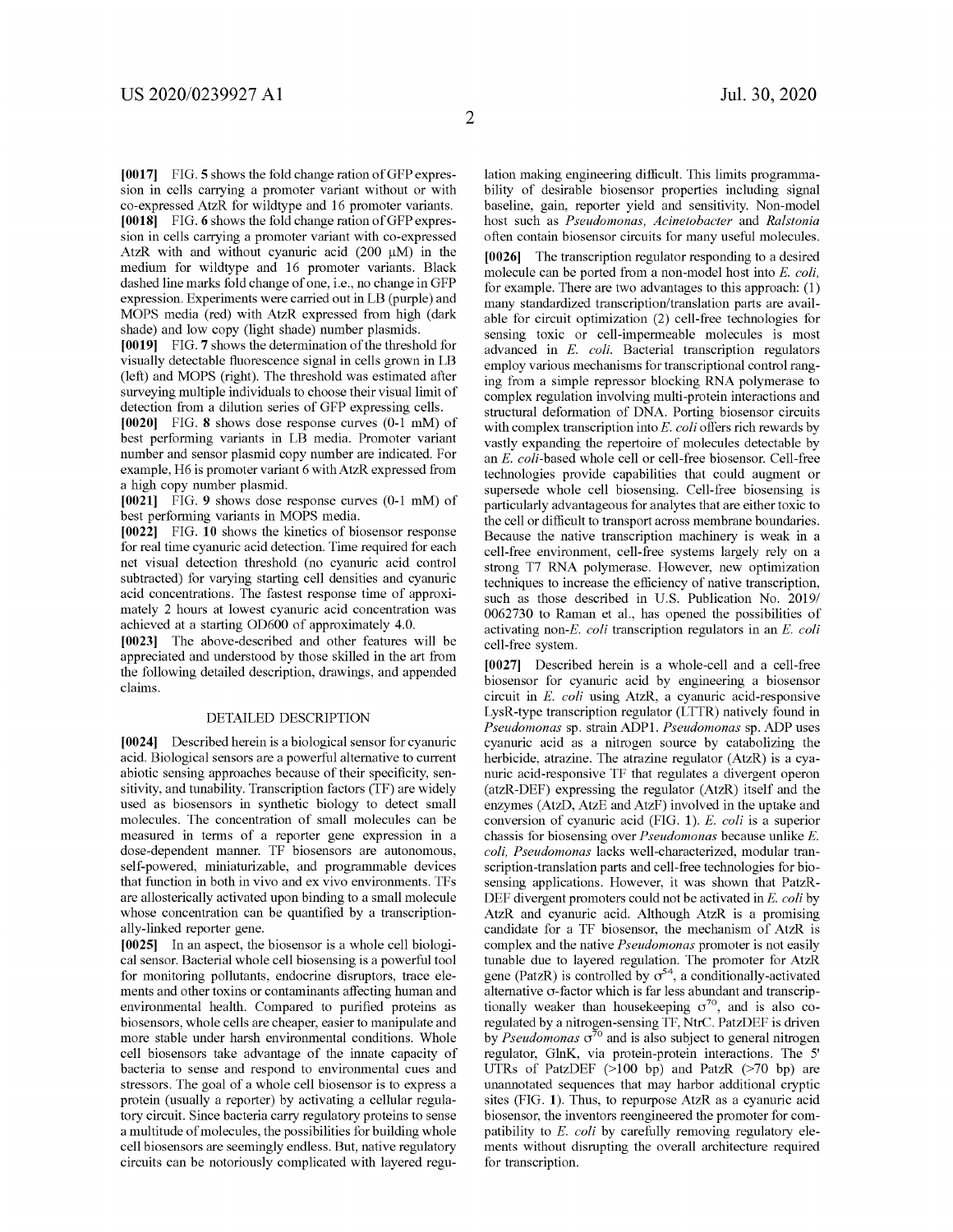**[0017]** FIG. **5** shows the fold change ration ofGFP expression in cells carrying a promoter variant without or with co-expressed AtzR for wildtype and 16 promoter variants. **[0018]** FIG. **6** shows the fold change ration ofGFP expression in cells carrying a promoter variant with co-expressed AtzR with and without cyanuric acid  $(200 \mu M)$  in the medium for wildtype and 16 promoter variants. Black dashed line marks fold change of one, i.e., no change in GFP expression. Experiments were carried out in LB (purple) and MOPS media (red) with AtzR expressed from high (dark shade) and low copy (light shade) number plasmids.

**[0019]** FIG. **7** shows the determination of the threshold for visually detectable fluorescence signal in cells grown in LB (left) and MOPS (right). The threshold was estimated after surveying multiple individuals to choose their visual limit of detection from a dilution series of GFP expressing cells.

**[0020]** FIG. **8** shows dose response curves (0-1 mM) of best performing variants in LB media. Promoter variant number and sensor plasmid copy number are indicated. For example, H6 is promoter variant 6 withAtzR expressed from a high copy number plasmid.

**[0021]** FIG. **9** shows dose response curves (0-1 mM) of best performing variants in MOPS media.

**[0022]** FIG. **10** shows the kinetics of biosensor response for real time cyanuric acid detection. Time required for each net visual detection threshold (no cyanuric acid control subtracted) for varying starting cell densities and cyanuric acid concentrations. The fastest response time of approximately 2 hours at lowest cyanuric acid concentration was achieved at a starting OD600 of approximately 4.0.

**[0023]** The above-described and other features will be appreciated and understood by those skilled in the art from the following detailed description, drawings, and appended claims.

#### DETAILED DESCRIPTION

**[0024]** Described herein is a biological sensor for cyanuric acid. Biological sensors are a powerful alternative to current abiotic sensing approaches because of their specificity, sensitivity, and tunability. Transcription factors (TF) are widely used as biosensors in synthetic biology to detect small molecules. The concentration of small molecules can be measured in terms of a reporter gene expression in a dose-dependent manner. TF biosensors are autonomous, self-powered, miniaturizable, and programmable devices that function in both in vivo and ex vivo environments. TFs are allosterically activated upon binding to a small molecule whose concentration can be quantified by a transcriptionally-linked reporter gene.

**[0025]** In an aspect, the biosensor is a whole cell biological sensor. Bacterial whole cell biosensing is a powerful tool for monitoring pollutants, endocrine disruptors, trace elements and other toxins or contaminants affecting human and environmental health. Compared to purified proteins as biosensors, whole cells are cheaper, easier to manipulate and more stable under harsh environmental conditions. Whole cell biosensors take advantage of the innate capacity of bacteria to sense and respond to environmental cues and stressors. The goal of a whole cell biosensor is to express a protein (usually a reporter) by activating a cellular regulatory circuit. Since bacteria carry regulatory proteins to sense a multitude of molecules, the possibilities for building whole cell biosensors are seemingly endless. But, native regulatory circuits can be notoriously complicated with layered regulation making engineering difficult. This limits programmability of desirable biosensor properties including signal baseline, gain, reporter yield and sensitivity. Non-model host such as *Pseudomonas, Acinetobacter* and *Ralstonia*  often contain biosensor circuits for many useful molecules. **[0026]** The transcription regulator responding to a desired molecule can be ported from a non-model host into *E. coli,*  for example. There are two advantages to this approach: (1) many standardized transcription/translation parts are available for circuit optimization (2) cell-free technologies for sensing toxic or cell-impermeable molecules is most advanced in *E. coli.* Bacterial transcription regulators employ various mechanisms for transcriptional control ranging from a simple repressor blocking RNA polymerase to complex regulation involving multi-protein interactions and structural deformation of DNA. Porting biosensor circuits with complex transcription into *E. coli* offers rich rewards by vastly expanding the repertoire of molecules detectable by an *E.* coli-based whole cell or cell-free biosensor. Cell-free technologies provide capabilities that could augment or supersede whole cell biosensing. Cell-free biosensing is particularly advantageous for analytes that are either toxic to the cell or difficult to transport across membrane boundaries. Because the native transcription machinery is weak in a cell-free environment, cell-free systems largely rely on a strong T7 RNA polymerase. However, new optimization techniques to increase the efficiency of native transcription, such as those described in U.S. Publication No. 2019/ 0062730 to Raman et al., has opened the possibilities of activating non-E. *coli* transcription regulators in an *E. coli*  cell-free system.

**[0027]** Described herein is a whole-cell and a cell-free biosensor for cyanuric acid by engineering a biosensor circuit in *E. coli* using AtzR, a cyanuric acid-responsive LysR-type transcription regulator (LTTR) natively found in *Pseudomonas* sp. strain ADP!. *Pseudomonas* sp. ADP uses cyanuric acid as a nitrogen source by catabolizing the herbicide, atrazine. The atrazine regulator (AtzR) is a cyanuric acid-responsive TF that regulates a divergent operon (atzR-DEF) expressing the regulator (AtzR) itself and the enzymes (AtzD, AtzE and AtzF) involved in the uptake and conversion of cyanuric acid (FIG. **1).** *E. coli* is a superior chassis for biosensing over *Pseudomonas* because unlike *E. coli, Pseudomonas* lacks well-characterized, modular transcription-translation parts and cell-free technologies for biosensing applications. However, it was shown that PatzR-DEF divergent promoters could not be activated in *E. coli* by AtzR and cyanuric acid. Although AtzR is a promising candidate for a TF biosensor, the mechanism of AtzR is complex and the native *Pseudomonas* promoter is not easily tunable due to layered regulation. The promoter for AtzR gene (PatzR) is controlled by  $\sigma^{54}$ , a conditionally-activated alternative  $\sigma$ -factor which is far less abundant and transcriptionally weaker than housekeeping  $\sigma^{70}$ , and is also coregulated by a nitrogen-sensing TF, NtrC. PatzDEF is driven by *Pseudomonas*  $\sigma^{70}$  and is also subject to general nitrogen regulator, GlnK, via protein-protein interactions. The 5' UTRs of PatzDEF (>100 bp) and PatzR (>70 bp) are unannotated sequences that may harbor additional cryptic sites (FIG. **1).** Thus, to repurpose AtzR as a cyanuric acid biosensor, the inventors reengineered the promoter for compatibility to *E. coli* by carefully removing regulatory elements without disrupting the overall architecture required for transcription.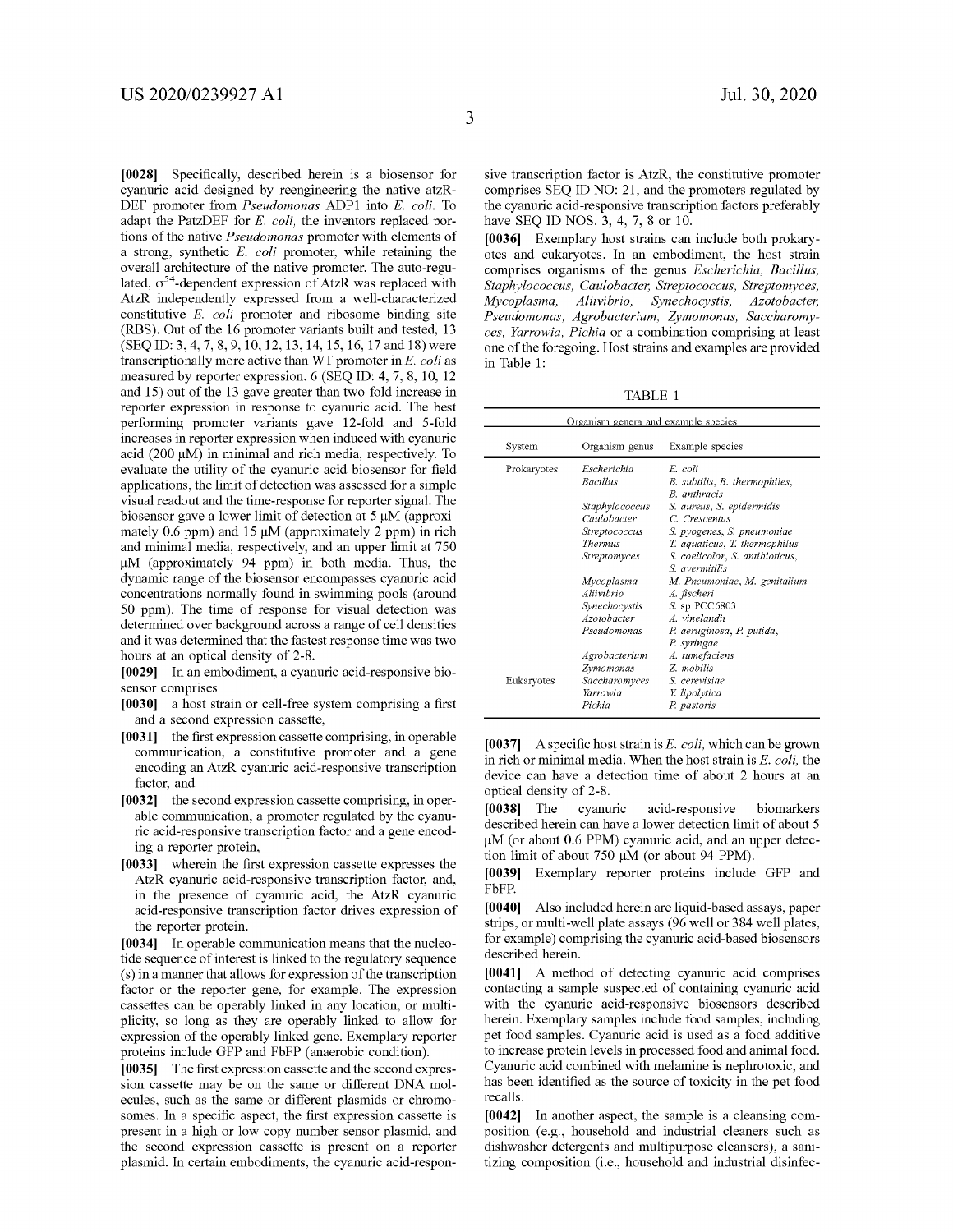**[0028]** Specifically, described herein is a biosensor for cyanuric acid designed by reengineering the native atzR-DEF promoter from *Pseudomonas* ADPl into *E. coli.* To adapt the PatzDEF for *E. coli,* the inventors replaced portions of the native *Pseudomonas* promoter with elements of a strong, synthetic *E. coli* promoter, while retaining the overall architecture of the native promoter. The auto-regulated,  $\sigma^{54}$ -dependent expression of AtzR was replaced with AtzR independently expressed from a well-characterized constitutive *E. coli* promoter and ribosome binding site (RBS). Out of the 16 promoter variants built and tested, 13 (SEQ ID: 3, 4, 7, 8, 9, 10, 12, 13, 14, 15, 16, 17 and 18) were transcriptionally more active than WT promoter in *E. coli* as measured by reporter expression. 6 (SEQ ID: 4, 7, 8, 10, 12 and 15) out of the 13 gave greater than two-fold increase in reporter expression in response to cyanuric acid. The best performing promoter variants gave 12-fold and 5-fold increases in reporter expression when induced with cyanuric acid (200 µM) in minimal and rich media, respectively. To evaluate the utility of the cyanuric acid biosensor for field applications, the limit of detection was assessed for a simple visual readout and the time-response for reporter signal. The biosensor gave a lower limit of detection at 5 µM (approximately 0.6 ppm) and 15  $\mu$ M (approximately 2 ppm) in rich and minimal media, respectively, and an upper limit at 750 µM (approximately 94 ppm) in both media. Thus, the dynamic range of the biosensor encompasses cyanuric acid concentrations normally found in swimming pools (around 50 ppm). The time of response for visual detection was determined over background across a range of cell densities and it was determined that the fastest response time was two hours at an optical density of 2-8.

**[0029]** In an embodiment, a cyanuric acid-responsive biosensor comprises

- **[0030]** a host strain or cell-free system comprising a first and a second expression cassette,
- **[0031]** the first expression cassette comprising, in operable communication, a constitutive promoter and a gene encoding an AtzR cyanuric acid-responsive transcription factor, and
- **[0032]** the second expression cassette comprising, in operable communication, a promoter regulated by the cyanuric acid-responsive transcription factor and a gene encoding a reporter protein,
- **[0033]** wherein the first expression cassette expresses the AtzR cyanuric acid-responsive transcription factor, and, in the presence of cyanuric acid, the AtzR cyanuric acid-responsive transcription factor drives expression of the reporter protein.

**[0034]** In operable communication means that the nucleotide sequence of interest is linked to the regulatory sequence ( s) in a manner that allows for expression of the transcription factor or the reporter gene, for example. The expression cassettes can be operably linked in any location, or multiplicity, so long as they are operably linked to allow for expression of the operably linked gene. Exemplary reporter proteins include GFP and FbFP (anaerobic condition).

**[0035]** The first expression cassette and the second expression cassette may be on the same or different DNA molecules, such as the same or different plasmids or chromosomes. In a specific aspect, the first expression cassette is present in a high or low copy number sensor plasmid, and the second expression cassette is present on a reporter plasmid. In certain embodiments, the cyanuric acid-responsive transcription factor is AtzR, the constitutive promoter comprises SEQ ID NO: 21, and the promoters regulated by the cyanuric acid-responsive transcription factors preferably have SEQ ID NOS. 3, 4, 7, 8 or 10.

**[0036]** Exemplary host strains can include both prokaryotes and eukaryotes. In an embodiment, the host strain comprises organisms of the genus *Escherichia, Bacillus, Staphylococcus, Caulobacter, Streptococcus, Streptomyces, Mycoplasma, Aliivibrio, Synechocystis, Azotobacter, Pseudomonas, Agrobacterium, Zymomonas, Saccharomyces, Yarrowia, Pichia* or a combination comprising at least one of the foregoing. Host strains and examples are provided in Table 1:

TABLE 1

| Organism genera and example species |                                                          |                                                                                                                 |  |
|-------------------------------------|----------------------------------------------------------|-----------------------------------------------------------------------------------------------------------------|--|
| System                              | Organism genus                                           | Example species                                                                                                 |  |
| Prokaryotes                         | Escherichia<br><b>Bacillus</b>                           | E. coli<br>B. subtilis, B. thermophiles,<br><b>B</b> anthracis                                                  |  |
|                                     | Staphylococcus<br>Caulobacter                            | S. aureus, S. epidermidis<br>C. Crescentus                                                                      |  |
|                                     | Streptococcus<br><b>Thermus</b><br>Streptomyces          | S. pyogenes, S. pneumoniae<br>T. aquaticus, T. thermophilus<br>S. coelicolor, S. antibioticus,<br>S avermitilis |  |
|                                     | Mycoplasma<br>Aliivibrio<br>Synechocystis<br>Azotobacter | M. Pneumoniae, M. genitalium<br>A. fischeri<br>$S.$ sp PCC6803<br>A vinelandii                                  |  |
|                                     | Pseudomonas<br>Agrobacterium                             | P. aeruginosa, P. putida,<br>P. syringae<br>A. tumefaciens                                                      |  |
| Eukaryotes                          | Zymomonas<br>Saccharomyces<br>Yarrowia<br>Pichia         | Z. mobilis<br>S. cerevisiae<br>Y. lipolytica<br>P. pastoris                                                     |  |

**[0037]** A specific host strain is *E. coli,* which can be grown in rich or minimal media. When the host strain is *E. coli,* the device can have a detection time of about 2 hours at an optical density of 2-8.

**[0038]** The cyanuric acid-responsive biomarkers described herein can have a lower detection limit of about 5 µM (or about 0.6 PPM) cyanuric acid, and an upper detection limit of about 750 µM (or about 94 PPM).

**[0039]** Exemplary reporter proteins include GFP and FbFP.

**[0040]** Also included herein are liquid-based assays, paper strips, or multi-well plate assays (96 well or 384 well plates, for example) comprising the cyanuric acid-based biosensors described herein.

**[0041]** A method of detecting cyanuric acid comprises contacting a sample suspected of containing cyanuric acid with the cyanuric acid-responsive biosensors described herein. Exemplary samples include food samples, including pet food samples. Cyanuric acid is used as a food additive to increase protein levels in processed food and animal food. Cyanuric acid combined with melamine is nephrotoxic, and has been identified as the source of toxicity in the pet food recalls.

**[0042]** In another aspect, the sample is a cleansing composition (e.g., household and industrial cleaners such as dishwasher detergents and multipurpose cleansers), a sanitizing composition (i.e., household and industrial disinfec-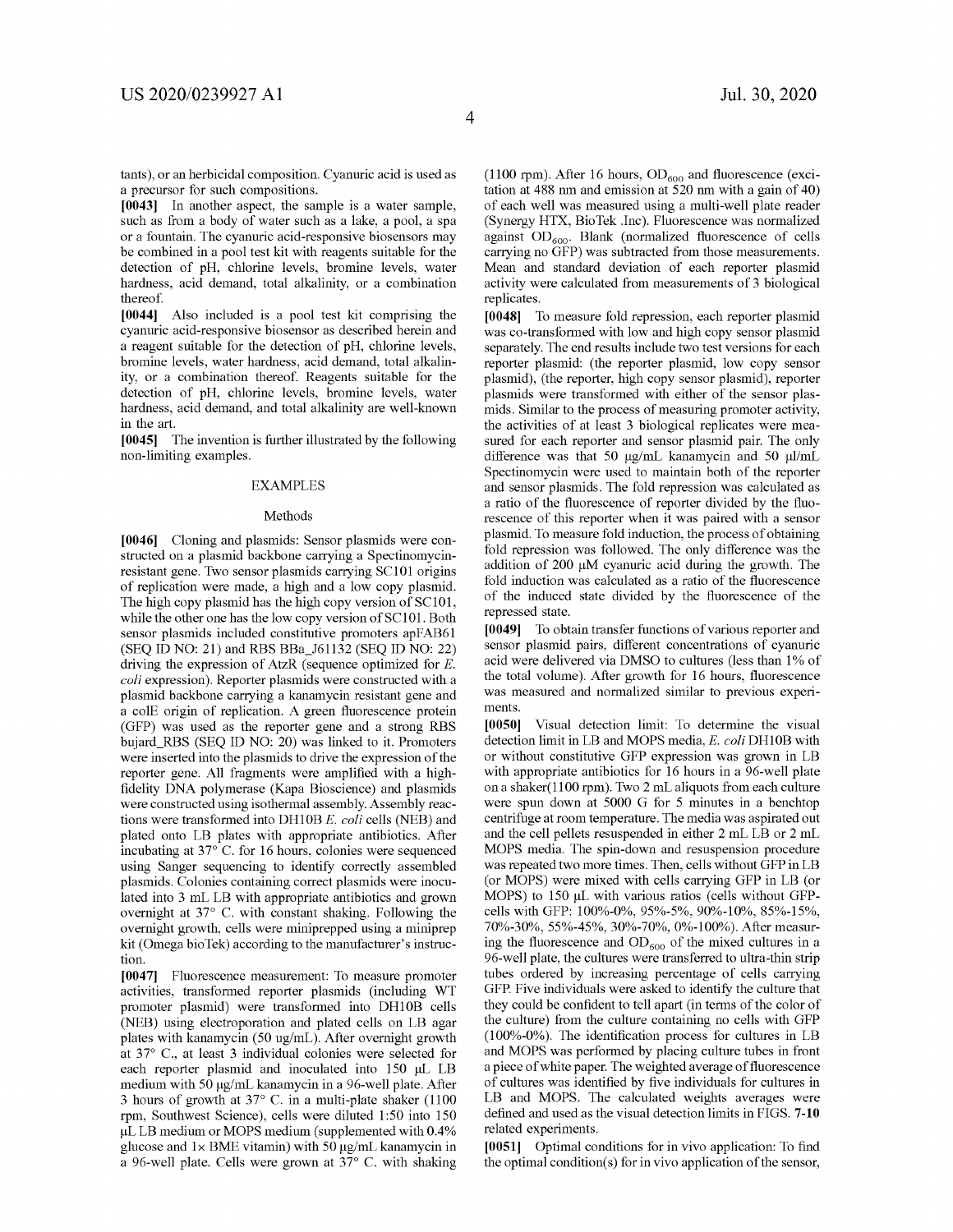tants ), or an herbicidal composition. Cyanuric acid is used as a precursor for such compositions.

**[0043]** In another aspect, the sample is a water sample, such as from a body of water such as a lake, a pool, a spa or a fountain. The cyanuric acid-responsive biosensors may be combined in a pool test kit with reagents suitable for the detection of pH, chlorine levels, bromine levels, water hardness, acid demand, total alkalinity, or a combination thereof.

**[0044]** Also included is a pool test kit comprising the cyanuric acid-responsive biosensor as described herein and a reagent suitable for the detection of pH, chlorine levels, bromine levels, water hardness, acid demand, total alkalinity, or a combination thereof. Reagents suitable for the detection of pH, chlorine levels, bromine levels, water hardness, acid demand, and total alkalinity are well-known in the art.

**[0045]** The invention is further illustrated by the following non-limiting examples.

#### EXAMPLES

#### Methods

**[0046]** Cloning and plasmids: Sensor plasmids were constructed on a plasmid backbone carrying a Spectinomycinresistant gene. Two sensor plasmids carrying SC101 origins of replication were made, a high and a low copy plasmid. The high copy plasmid has the high copy version of SC101, while the other one has the low copy version of SC101. Both sensor plasmids included constitutive promoters apFAB61 (SEQ ID NO: 21) and RBS BBa\_J61132 (SEQ ID NO: 22) driving the expression of AtzR (sequence optimized for *E. coli* expression). Reporter plasmids were constructed with a plasmid backbone carrying a kanamycin resistant gene and a colE origin of replication. A green fluorescence protein (GFP) was used as the reporter gene and a strong RBS bujard\_RBS (SEQ ID NO: 20) was linked to it. Promoters were inserted into the plasmids to drive the expression of the reporter gene. All fragments were amplified with a highfidelity DNA polymerase (Kapa Bioscience) and plasmids were constructed using isothermal assembly. Assembly reactions were transformed into DHl0B *E.coli* cells (NEB) and plated onto LB plates with appropriate antibiotics. After incubating at 37° C. for 16 hours, colonies were sequenced using Sanger sequencing to identify correctly assembled plasmids. Colonies containing correct plasmids were inoculated into 3 mL LB with appropriate antibiotics and grown overnight at 37° C. with constant shaking. Following the overnight growth, cells were miniprepped using a miniprep kit (Omega bioTek) according to the manufacturer's instruction.

**[0047]** Fluorescence measurement: To measure promoter activities, transformed reporter plasmids (including WT promoter plasmid) were transformed into DH10B cells (NEB) using electroporation and plated cells on LB agar plates with kanamycin (50 ug/mL). After overnight growth at 37° C., at least 3 individual colonies were selected for each reporter plasmid and inoculated into 150 µL LB medium with 50 µg/mL kanamycin in a 96-well plate. After 3 hours of growth at 37° C. in a multi-plate shaker (1100 rpm, Southwest Science), cells were diluted 1:50 into 150 µLLB medium or MOPS medium (supplemented with 0.4% glucose and  $1 \times$  BME vitamin) with 50  $\mu$ g/mL kanamycin in a 96-well plate. Cells were grown at 37° C. with shaking (1100 rpm). After 16 hours,  $OD_{600}$  and fluorescence (excitation at 488 nm and emission at 520 nm with a gain of 40) of each well was measured using a multi-well plate reader (Synergy HTX, BioTek .Inc). Fluorescence was normalized against  $OD_{600}$ . Blank (normalized fluorescence of cells carrying no GFP) was subtracted from those measurements. Mean and standard deviation of each reporter plasmid activity were calculated from measurements of 3 biological replicates.

**[0048]** To measure fold repression, each reporter plasmid was co-transformed with low and high copy sensor plasmid separately. The end results include two test versions for each reporter plasmid: (the reporter plasmid, low copy sensor plasmid), (the reporter, high copy sensor plasmid), reporter plasmids were transformed with either of the sensor plasmids. Similar to the process of measuring promoter activity, the activities of at least 3 biological replicates were measured for each reporter and sensor plasmid pair. The only difference was that 50 µg/mL kanamycin and 50 µ1/mL Spectinomycin were used to maintain both of the reporter and sensor plasmids. The fold repression was calculated as a ratio of the fluorescence of reporter divided by the fluorescence of this reporter when it was paired with a sensor plasmid. To measure fold induction, the process of obtaining fold repression was followed. The only difference was the addition of 200 µM cyanuric acid during the growth. The fold induction was calculated as a ratio of the fluorescence of the induced state divided by the fluorescence of the repressed state.

**[0049]** To obtain transfer functions of various reporter and sensor plasmid pairs, different concentrations of cyanuric acid were delivered via DMSO to cultures (less than 1% of the total volume). After growth for 16 hours, fluorescence was measured and normalized similar to previous experiments.

**[0050]** Visual detection limit: To determine the visual detection limit in LB and MOPS media, *E.coli* DHl0B with or without constitutive GFP expression was grown in LB with appropriate antibiotics for 16 hours in a 96-well plate on a shaker(1100 rpm). Two 2 mL aliquots from each culture were spun down at 5000 G for 5 minutes in a benchtop centrifuge at room temperature. The media was aspirated out and the cell pellets resuspended in either 2 mL LB or 2 mL MOPS media. The spin-down and resuspension procedure was repeated two more times. Then, cells without GFP in LB (or MOPS) were mixed with cells carrying GFP in LB (or MOPS) to 150 µL with various ratios (cells without GFPcells with GFP: 100%-0%, 95%-5%, 90%-10%, 85%-15%, 70%-30%, 55%-45%, 30%-70%, 0%-100%). After measuring the fluorescence and  $OD_{600}$  of the mixed cultures in a 96-well plate, the cultures were transferred to ultra-thin strip tubes ordered by increasing percentage of cells carrying GFP. Five individuals were asked to identify the culture that they could be confident to tell apart (in terms of the color of the culture) from the culture containing no cells with GFP (100%-0%). The identification process for cultures in  $LB$ and MOPS was performed by placing culture tubes in front a piece of white paper. The weighted average of fluorescence of cultures was identified by five individuals for cultures in LB and MOPS. The calculated weights averages were defined and used as the visual detection limits in FIGS. **7-10**  related experiments.

**[0051]** Optimal conditions for in vivo application: To find the optimal condition( $s$ ) for in vivo application of the sensor,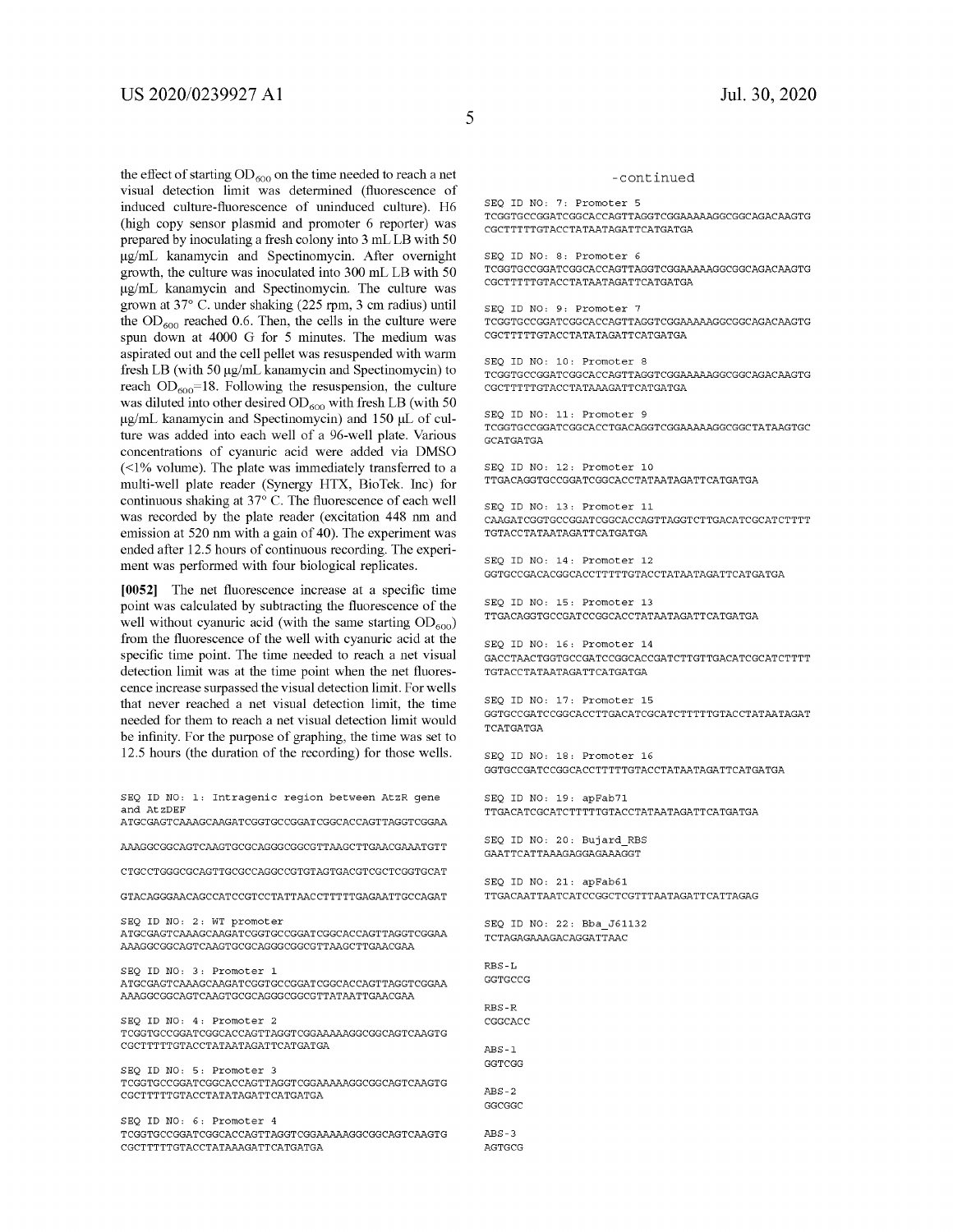the effect of starting  $OD_{600}$  on the time needed to reach a net visual detection limit was determined (fluorescence of induced culture-fluorescence of uninduced culture). H6 (high copy sensor plasmid and promoter 6 reporter) was prepared by inoculating a fresh colony into 3 mL LB with 50 µg/mL kanamycin and Spectinomycin. After overnight growth, the culture was inoculated into 300 mL LB with 50 µg/mL kanamycin and Spectinomycin. The culture was grown at 37° C. under shaking (225 rpm, 3 cm radius) until the  $OD_{600}$  reached 0.6. Then, the cells in the culture were spun down at 4000 G for 5 minutes. The medium was aspirated out and the cell pellet was resuspended with warm fresh LB (with 50 µg/mL kanamycin and Spectinomycin) to reach  $OD_{600}$ =18. Following the resuspension, the culture was diluted into other desired  $OD_{600}$  with fresh LB (with 50 µg/mL kanamycin and Spectinomycin) and 150 µL of culture was added into each well of a 96-well plate. Various concentrations of cyanuric acid were added via DMSO  $($  <math display="inline">\leq 1% volume). The plate was immediately transferred to a multi-well plate reader (Synergy HTX, BioTek. Inc) for continuous shaking at 37° C. The fluorescence of each well was recorded by the plate reader (excitation 448 nm and emission at 520 nm with a gain of 40). The experiment was ended after 12.5 hours of continuous recording. The experiment was performed with four biological replicates.

**[0052]** The net fluorescence increase at a specific time point was calculated by subtracting the fluorescence of the well without cyanuric acid (with the same starting  $OD_{600}$ ) from the fluorescence of the well with cyanuric acid at the specific time point. The time needed to reach a net visual detection limit was at the time point when the net fluorescence increase surpassed the visual detection limit. For wells that never reached a net visual detection limit, the time needed for them to reach a net visual detection limit would be infinity. For the purpose of graphing, the time was set to 12.5 hours (the duration of the recording) for those wells.

SEQ ID NO: 1: Intragenic region between AtzR gene and AtzDEF ATGCGAGTCAAAGCAAGATCGGTGCCGGATCGGCACCAGTTAGGTCGGAA AAAGGCGGCAGTCAAGTGCGCAGGGCGGCGTTAAGCTTGAACGAAATGTT CTGCCTGGGCGCAGTTGCGCCAGGCCGTGTAGTGACGTCGCTCGGTGCAT GTACAGGGAACAGCCATCCGTCCTATTAACCTTTTTGAGAATTGCCAGAT SEQ ID NO: 2: WT promoter ATGCGAGTCAAAGCAAGATCGGTGCCGGATCGGCACCAGTTAGGTCGGAA AAAGGCGGCAGTCAAGTGCGCAGGGCGGCGTTAAGCTTGAACGAA SEQ ID NO: 3: Promoter 1 ATGCGAGTCAAAGCAAGATCGGTGCCGGATCGGCACCAGTTAGGTCGGAA AAAGGCGGCAGTCAAGTGCGCAGGGCGGCGTTATAATTGAACGAA SEO ID NO: 4: Promoter 2 TCGGTGCCGGATCGGCACCAGTTAGGTCGGAAAAAGGCGGCAGTCAAGTG CGCTTTTTGTACCTATAATAGATTCATGATGA SEO ID NO: 5: Promoter 3 TCGGTGCCGGATCGGCACCAGTTAGGTCGGAAAAAGGCGGCAGTCAAGTG CGCTTTTTGTACCTATATAGATTCATGATGA SEQ ID NO: 6: Promoter 4 TCGGTGCCGGATCGGCACCAGTTAGGTCGGAAAAAGGCGGCAGTCAAGTG CGCTTTTTGTACCTATAAAGATTCATGATGA

#### -continued

SEO ID NO: 7: Promoter 5 TCGGTGCCGGATCGGCACCAGTTAGGTCGGAAAAAGGCGGCAGACAAGTG CGCTTTTTGTACCTATAATAGATTCATGATGA

SEQ ID NO: 8: Promoter 6 TCGGTGCCGGATCGGCACCAGTTAGGTCGGAAAAAGGCGGCAGACAAGTG CGCTTTTTGTACCTATAATAGATTCATGATGA

SEO ID NO: 9: Promoter 7 TCGGTGCCGGATCGGCACCAGTTAGGTCGGAAAAAGGCGGCAGACAAGTG CGCTTTTTGTACCTATATAGATTCATGATGA

SEQ ID NO: 10: Promoter 8 TCGGTGCCGGATCGGCACCAGTTAGGTCGGAAAAAGGCGGCAGACAAGTG CGCTTTTTGTACCTATAAAGATTCATGATGA

SEQ ID NO: 11: Promoter 9 TCGGTGCCGGATCGGCACCTGACAGGTCGGAAAAAGGCGGCTATAAGTGC GCATGATGA

SEQ ID NO: 12: Promoter 10 TTGACAGGTGCCGGATCGGCACCTATAATAGATTCATGATGA

SEQ ID NO: 13: Promoter 11 CAAGATCGGTGCCGGATCGGCACCAGTTAGGTCTTGACATCGCATCTTTT TGTACCTATAATAGATTCATGATGA

SEQ ID NO: 14: Promoter 12 GGTGCCGACACGGCACCTTTTTGTACCTATAATAGATTCATGATGA

SEO ID NO: 15: Promoter 13 TTGACAGGTGCCGATCCGGCACCTATAATAGATTCATGATGA

SEQ ID NO: 16: Promoter 14 GACCTAACTGGTGCCGATCCGGCACCGATCTTGTTGACATCGCATCTTTT TGTACCTATAATAGATTCATGATGA

SEQ ID NO: 17: Promoter 15 GGTGCCGATCCGGCACCTTGACATCGCATCTTTTTGTACCTATAATAGAT TCATGATGA

SEQ ID NO: 18: Promoter 16 GGTGCCGATCCGGCACCTTTTTGTACCTATAATAGATTCATGATGA

SEQ ID NO: 19: apFab71 TTGACATCGCATCTTTTTGTACCTATAATAGATTCATGATGA

SEO ID NO: 20: Bujard RBS GAATTCATTAAAGAGGAGAAAGGT

SEO ID NO: 21: apFab61 TTGACAATTAATCATCCGGCTCGTTTAATAGATTCATTAGAG

SEQ ID NO, 22, Bba\_J61132 TCTAGAGAAAGACAGGATTAAC

RBS-L GGTGCCG

RBS-R CGGCACC

ABS-1 GGTCGG

ABS-2 GGCGGC

ABS-3 AGTGCG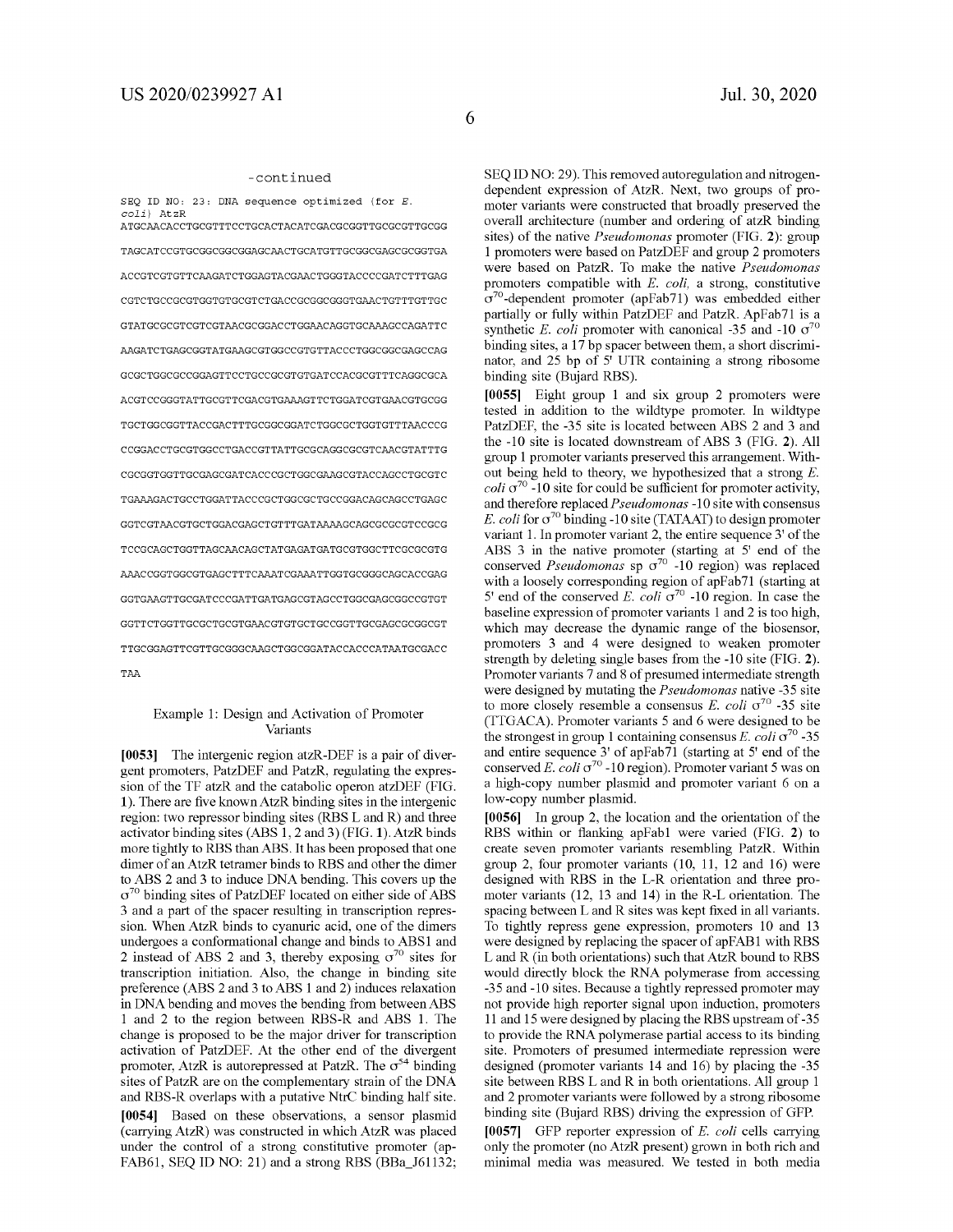#### -continued

SEQ ID NO, 23, DNA sequence optimized (for *E. coli)* AtzR ATGCAACACCTGCGTTTCCTGCACTACATCGACGCGGTTGCGCGTTGCGG TAGCATCCGTGCGGCGGCGGAGCAACTGCATGTTGCGGCGAGCGCGGTGA ACCGTCGTGTTCAAGATCTGGAGTACGAACTGGGTACCCCGATCTTTGAG CGTCTGCCGCGTGGTGTGCGTCTGACCGCGGCGGGTGAACTGTTTGTTGC GTATGCGCGTCGTCGTAACGCGGACCTGGAACAGGTGCAAAGCCAGATTC AAGATCTGAGCGGTATGAAGCGTGGCCGTGTTACCCTGGCGGCGAGCCAG GCGCTGGCGCCGGAGTTCCTGCCGCGTGTGATCCACGCGTTTCAGGCGCA ACGTCCGGGTATTGCGTTCGACGTGAAAGTTCTGGATCGTGAACGTGCGG TGCTGGCGGTTACCGACTTTGCGGCGGATCTGGCGCTGGTGTTTAACCCG CCGGACCTGCGTGGCCTGACCGTTATTGCGCAGGCGCGTCAACGTATTTG CGCGGTGGTTGCGAGCGATCACCCGCTGGCGAAGCGTACCAGCCTGCGTC TGAAAGACTGCCTGGATTACCCGCTGGCGCTGCCGGACAGCAGCCTGAGC GGTCGTAACGTGCTGGACGAGCTGTTTGATAAAAGCAGCGCGCGTCCGCG TCCGCAGCTGGTTAGCAACAGCTATGAGATGATGCGTGGCTTCGCGCGTG AAACCGGTGGCGTGAGCTTTCAAATCGAAATTGGTGCGGGCAGCACCGAG GGTGAAGTTGCGATCCCGATTGATGAGCGTAGCCTGGCGAGCGGCCGTGT GGTTCTGGTTGCGCTGCGTGAACGTGTGCTGCCGGTTGCGAGCGCGGCGT TTGCGGAGTTCGTTGCGGGCAAGCTGGCGGATACCACCCATAATGCGACC TAA

#### Example 1: Design and Activation of Promoter Variants

**[0053]** The intergenic region atzR-DEF is a pair of divergent promoters, PatzDEF and PatzR, regulating the expression of the TF atzR and the catabolic operon atzDEF (FIG. **1).** There are five knownAtzR binding sites in the intergenic region: two repressor binding sites (RBS Land R) and three activator binding sites (ABS 1, 2 and 3) (FIG. **1).** AtzR binds more tightly to RBS than ABS. It has been proposed that one dimer of an AtzR tetramer binds to RBS and other the dimer to ABS 2 and 3 to induce DNA bending. This covers up the  $\sigma^{70}$  binding sites of PatzDEF located on either side of ABS 3 and a part of the spacer resulting in transcription repression. When AtzR binds to cyanuric acid, one of the dimers undergoes a conformational change and binds to ABS1 and 2 instead of ABS 2 and 3, thereby exposing  $\sigma^{70}$  sites for transcription initiation. Also, the change in binding site preference (ABS 2 and 3 to ABS 1 and 2) induces relaxation in DNA bending and moves the bending from between ABS 1 and 2 to the region between RBS-R and ABS 1. The change is proposed to be the major driver for transcription activation of PatzDEF. At the other end of the divergent promoter, AtzR is autorepressed at PatzR. The  $\sigma^{54}$  binding sites of PatzR are on the complementary strain of the DNA and RBS-R overlaps with a putative NtrC binding half site. **[0054]** Based on these observations, a sensor plasmid ( carrying AtzR) was constructed in which AtzR was placed under the control of a strong constitutive promoter (ap-

FAB61, SEQ ID NO: 21) and a strong RBS (BBa\_J61132;

SEQ ID NO: 29). This removed autoregulation and nitrogendependent expression of AtzR. Next, two groups of promoter variants were constructed that broadly preserved the overall architecture (number and ordering of atzR binding sites) of the native *Pseudomonas* promoter (FIG. **2):** group 1 promoters were based on PatzDEF and group 2 promoters were based on PatzR. To make the native *Pseudomonas*  promoters compatible with *E. coli,* a strong, constitutive  $\sigma^{70}$ -dependent promoter (apFab71) was embedded either partially or fully within PatzDEF and PatzR. ApFab71 is a synthetic *E. coli* promoter with canonical -35 and -10  $\sigma^{70}$ binding sites, a 17 bp spacer between them, a short discriminator, and 25 bp of 5' UTR containing a strong ribosome binding site (Bujard RBS).

**[0055]** Eight group 1 and six group 2 promoters were tested in addition to the wildtype promoter. In wildtype PatzDEF, the -35 site is located between ABS 2 and 3 and the -10 site is located downstream of ABS 3 (FIG. **2).** All group 1 promoter variants preserved this arrangement. Without being held to theory, we hypothesized that a strong *E. coli*  $\sigma^{70}$  -10 site for could be sufficient for promoter activity, and therefore replaced *Pseudomonas* -10 site with consensus *E. coli* for  $\sigma^{70}$  binding -10 site (TATAAT) to design promoter variant 1. In promoter variant 2, the entire sequence 3' of the ABS 3 in the native promoter (starting at 5' end of the conserved *Pseudomonas* sp  $\sigma^{70}$  -10 region) was replaced with a loosely corresponding region of apFab71 (starting at 5' end of the conserved *E. coli*  $\sigma^{70}$  -10 region. In case the baseline expression of promoter variants 1 and 2 is too high, which may decrease the dynamic range of the biosensor, promoters 3 and 4 were designed to weaken promoter strength by deleting single bases from the -10 site (FIG. **2).**  Promoter variants 7 and 8 of presumed intermediate strength were designed by mutating the *Pseudomonas* native -35 site to more closely resemble a consensus  $E.$  *coli*  $\sigma^{70}$  -35 site (TTGACA). Promoter variants 5 and 6 were designed to be the strongest in group 1 containing consensus *E. coli*  $\sigma^{70}$  -35 and entire sequence 3' of apFab71 (starting at 5' end of the conserved *E. coli*  $\sigma^{70}$  -10 region). Promoter variant 5 was on a high-copy number plasmid and promoter variant 6 on a low-copy number plasmid.

**[0056]** In group 2, the location and the orientation of the RBS within or flanking apFabl were varied (FIG. **2)** to create seven promoter variants resembling PatzR. Within group 2, four promoter variants (10, 11, 12 and 16) were designed with RBS in the L-R orientation and three promoter variants (12, 13 and 14) in the R-L orientation. The spacing between L and R sites was kept fixed in all variants. To tightly repress gene expression, promoters 10 and 13 were designed by replacing the spacer of apFAB1 with RBS L and R (in both orientations) such that AtzR bound to RBS would directly block the RNA polymerase from accessing -35 and -10 sites. Because a tightly repressed promoter may not provide high reporter signal upon induction, promoters 11 and 15 were designed by placing the RBS upstream of -35 to provide the RNA polymerase partial access to its binding site. Promoters of presumed intermediate repression were designed (promoter variants 14 and 16) by placing the -35 site between RBS L and R in both orientations. All group 1 and 2 promoter variants were followed by a strong ribosome binding site (Bujard RBS) driving the expression of GFP.

**[0057]** GFP reporter expression of *E. coli* cells carrying only the promoter (no AtzR present) grown in both rich and minimal media was measured. We tested in both media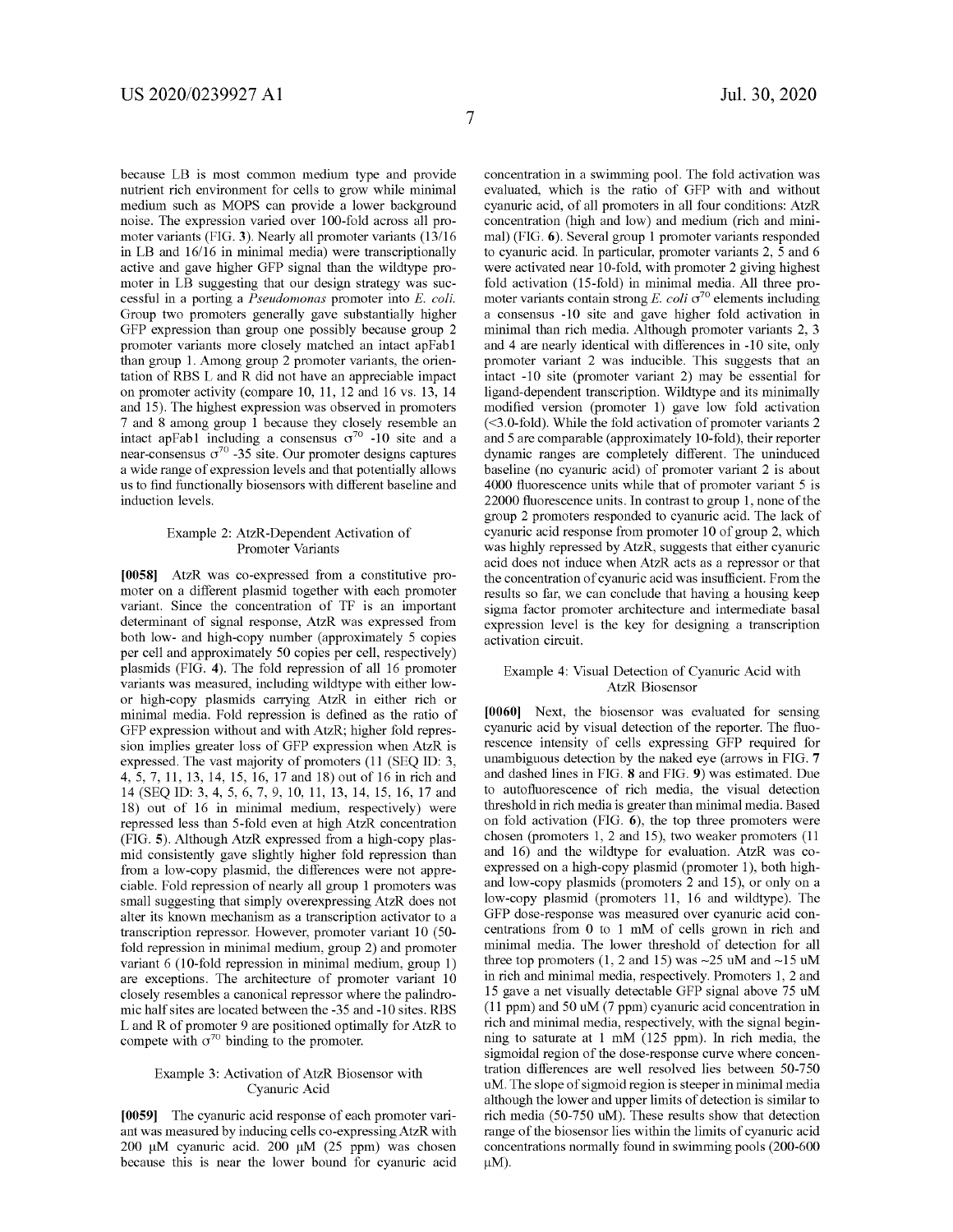because LB is most common medium type and provide nutrient rich environment for cells to grow while minimal medium such as MOPS can provide a lower background noise. The expression varied over 100-fold across all promoter variants (FIG. **3).** Nearly all promoter variants (13/16 in LB and 16/16 in minimal media) were transcriptionally active and gave higher GFP signal than the wildtype promoter in LB suggesting that our design strategy was successful in a porting a *Pseudomonas* promoter into E. *coli.*  Group two promoters generally gave substantially higher GFP expression than group one possibly because group 2 promoter variants more closely matched an intact apFabl than group 1. Among group 2 promoter variants, the orientation of RBS L and R did not have an appreciable impact on promoter activity (compare 10, 11, 12 and 16 vs. 13, 14 and 15). The highest expression was observed in promoters 7 and 8 among group 1 because they closely resemble an intact apFab1 including a consensus  $\sigma^{70}$  -10 site and a near-consensus  $\sigma^{70}$  -35 site. Our promoter designs captures a wide range of expression levels and that potentially allows us to find functionally biosensors with different baseline and induction levels.

#### Example 2: AtzR-Dependent Activation of Promoter Variants

**[0058]** AtzR was co-expressed from a constitutive promoter on a different plasmid together with each promoter variant. Since the concentration of TF is an important determinant of signal response, AtzR was expressed from both low- and high-copy number (approximately 5 copies per cell and approximately 50 copies per cell, respectively) plasmids (FIG. **4).** The fold repression of all 16 promoter variants was measured, including wildtype with either lowor high-copy plasmids carrying AtzR in either rich or minimal media. Fold repression is defined as the ratio of GFP expression without and with AtzR; higher fold repression implies greater loss of GFP expression when AtzR is expressed. The vast majority of promoters (11 (SEQ ID: 3, 4, 5, 7, 11, 13, 14, 15, 16, 17 and 18) out of 16 in rich and 14 (SEQ ID: 3, 4, 5, 6, 7, 9, 10, 11, 13, 14, 15, 16, 17 and 18) out of 16 in minimal medium, respectively) were repressed less than 5-fold even at high AtzR concentration (FIG. **5).** Although AtzR expressed from a high-copy plasmid consistently gave slightly higher fold repression than from a low-copy plasmid, the differences were not appreciable. Fold repression of nearly all group 1 promoters was small suggesting that simply overexpressing AtzR does not alter its known mechanism as a transcription activator to a transcription repressor. However, promoter variant 10 (50 fold repression in minimal medium, group 2) and promoter variant 6 (10-fold repression in minimal medium, group 1) are exceptions. The architecture of promoter variant 10 closely resembles a canonical repressor where the palindromic half sites are located between the -35 and -10 sites. RBS L and R of promoter 9 are positioned optimally for AtzR to compete with  $\sigma^{70}$  binding to the promoter.

#### Example 3: Activation of AtzR Biosensor with Cyanuric Acid

**[0059]** The cyanuric acid response of each promoter variant was measured by inducing cells co-expressing AtzR with 200 µM cyanuric acid. 200 µM (25 ppm) was chosen because this is near the lower bound for cyanuric acid concentration in a swimming pool. The fold activation was evaluated, which is the ratio of GFP with and without cyanuric acid, of all promoters in all four conditions: AtzR concentration (high and low) and medium (rich and minimal) (FIG. **6).** Several group 1 promoter variants responded to cyanuric acid. In particular, promoter variants 2, 5 and 6 were activated near 10-fold, with promoter 2 giving highest fold activation (15-fold) in minimal media. All three promoter variants contain strong  $E$ . *coli*  $\sigma^{70}$  elements including a consensus -10 site and gave higher fold activation in minimal than rich media. Although promoter variants 2, 3 and 4 are nearly identical with differences in -10 site, only promoter variant 2 was inducible. This suggests that an intact -10 site (promoter variant 2) may be essential for ligand-dependent transcription. Wildtype and its minimally modified version (promoter 1) gave low fold activation ( <3.0-fold). While the fold activation of promoter variants 2 and 5 are comparable (approximately 10-fold), their reporter dynamic ranges are completely different. The uninduced baseline (no cyanuric acid) of promoter variant 2 is about 4000 fluorescence units while that of promoter variant 5 is 22000 fluorescence units. In contrast to group 1, none of the group 2 promoters responded to cyanuric acid. The lack of cyanuric acid response from promoter 10 of group 2, which was highly repressed by AtzR, suggests that either cyanuric acid does not induce when AtzR acts as a repressor or that the concentration of cyanuric acid was insufficient. From the results so far, we can conclude that having a housing keep sigma factor promoter architecture and intermediate basal expression level is the key for designing a transcription activation circuit.

#### Example 4: Visual Detection of Cyanuric Acid with AtzR Biosensor

**[0060]** Next, the biosensor was evaluated for sensing cyanuric acid by visual detection of the reporter. The fluorescence intensity of cells expressing GFP required for unambiguous detection by the naked eye (arrows in FIG. **7**  and dashed lines in FIG. **8** and FIG. **9)** was estimated. Due to autofluorescence of rich media, the visual detection threshold in rich media is greater than minimal media. Based on fold activation (FIG. **6),** the top three promoters were chosen (promoters 1, 2 and 15), two weaker promoters (11 and 16) and the wildtype for evaluation. AtzR was coexpressed on a high-copy plasmid (promoter 1), both highand low-copy plasmids (promoters 2 and 15), or only on a low-copy plasmid (promoters 11, 16 and wildtype). The GFP dose-response was measured over cyanuric acid concentrations from O to 1 mM of cells grown in rich and minimal media. The lower threshold of detection for all three top promoters  $(1, 2 \text{ and } 15)$  was  $\sim$ 25 uM and  $\sim$ 15 uM in rich and minimal media, respectively. Promoters 1, 2 and 15 gave a net visually detectable GFP signal above 75 uM (11 ppm) and 50 uM (7 ppm) cyanuric acid concentration in rich and minimal media, respectively, with the signal beginning to saturate at 1 mM (125 ppm). In rich media, the sigmoidal region of the dose-response curve where concentration differences are well resolved lies between 50-750 uM. The slope of sigmoid region is steeper in minimal media although the lower and upper limits of detection is similar to rich media (50-750 uM). These results show that detection range of the biosensor lies within the limits of cyanuric acid concentrations normally found in swimming pools (200-600  $\mu M$ ).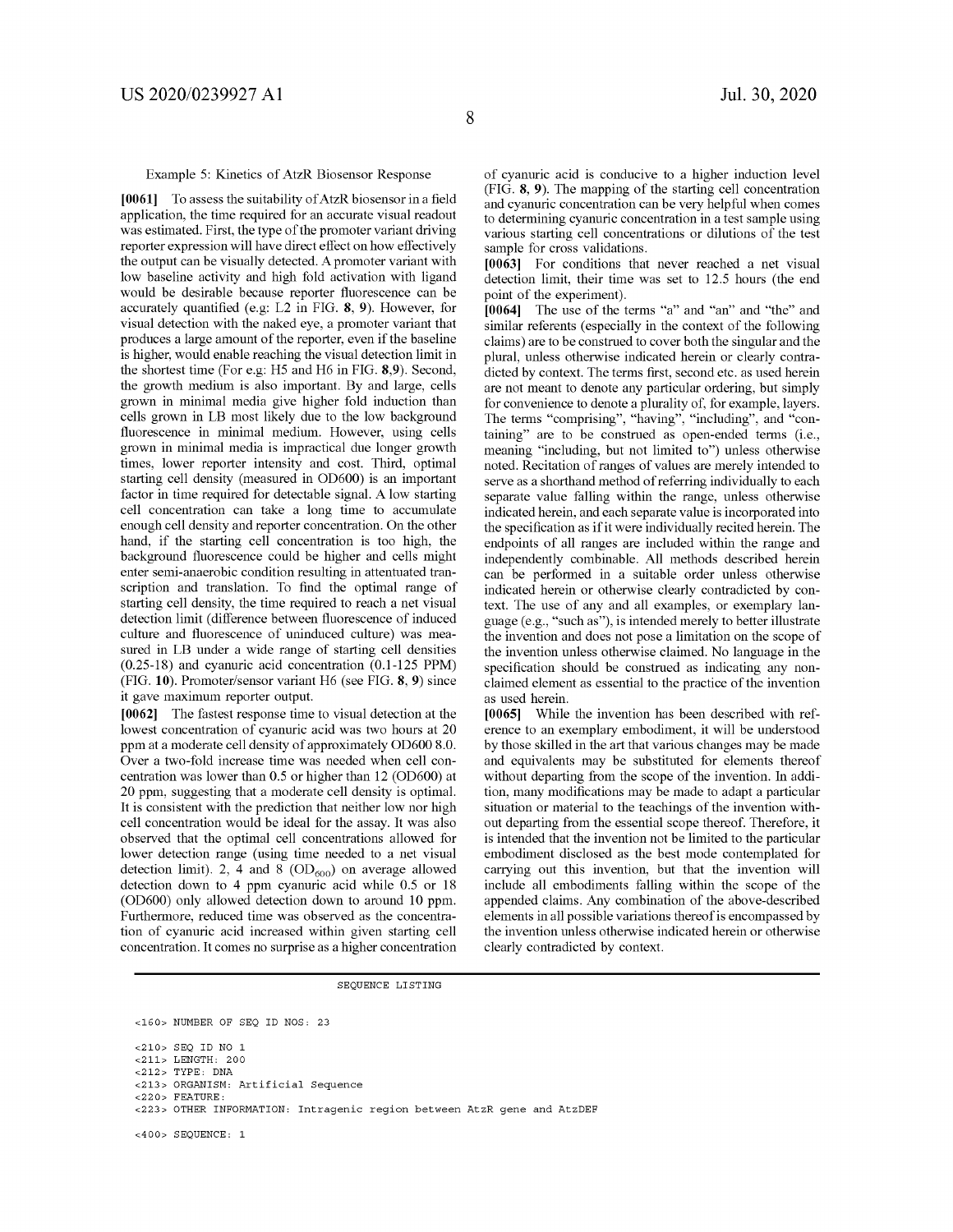Example 5: Kinetics of AtzR Biosensor Response

**[0061]** To assess the suitability of AtzR biosensor in a field application, the time required for an accurate visual readout was estimated. First, the type of the promoter variant driving reporter expression will have direct effect on how effectively the output can be visually detected. A promoter variant with low baseline activity and high fold activation with ligand would be desirable because reporter fluorescence can be accurately quantified (e.g: L2 in FIG. **8, 9).** However, for visual detection with the naked eye, a promoter variant that produces a large amount of the reporter, even if the baseline is higher, would enable reaching the visual detection limit in the shortest time (For e.g: *HS* and H6 in FIG. **8,9).** Second, the growth medium is also important. By and large, cells grown in minimal media give higher fold induction than cells grown in LB most likely due to the low background fluorescence in minimal medium. However, using cells grown in minimal media is impractical due longer growth times, lower reporter intensity and cost. Third, optimal starting cell density (measured in OD600) is an important factor in time required for detectable signal. A low starting cell concentration can take a long time to accumulate enough cell density and reporter concentration. On the other hand, if the starting cell concentration is too high, the background fluorescence could be higher and cells might enter semi-anaerobic condition resulting in attentuated transcription and translation. To find the optimal range of starting cell density, the time required to reach a net visual detection limit (difference between fluorescence of induced culture and fluorescence of uninduced culture) was measured in LB under a wide range of starting cell densities (0.25-18) and cyanuric acid concentration (0.1-125 PPM) (FIG. **10).** Promoter/sensor variant H6 (see FIG. **8, 9)** since it gave maximum reporter output.

**[0062]** The fastest response time to visual detection at the lowest concentration of cyanuric acid was two hours at 20 ppm at a moderate cell density of approximately OD600 8.0. Over a two-fold increase time was needed when cell concentration was lower than 0.5 or higher than 12 (OD600) at 20 ppm, suggesting that a moderate cell density is optimal. It is consistent with the prediction that neither low nor high cell concentration would be ideal for the assay. It was also observed that the optimal cell concentrations allowed for lower detection range (using time needed to a net visual detection limit). 2, 4 and 8  $(OD<sub>600</sub>)$  on average allowed detection down to 4 ppm cyanuric acid while 0.5 or 18 (OD600) only allowed detection down to around 10 ppm. Furthermore, reduced time was observed as the concentration of cyanuric acid increased within given starting cell concentration. It comes no surprise as a higher concentration of cyanuric acid is conducive to a higher induction level (FIG. **8, 9).** The mapping of the starting cell concentration and cyanuric concentration can be very helpful when comes to determining cyanuric concentration in a test sample using various starting cell concentrations or dilutions of the test sample for cross validations.

**[0063]** For conditions that never reached a net visual detection limit, their time was set to 12.5 hours (the end point of the experiment).

**[0064]** The use of the terms "a" and "an" and "the" and similar referents (especially in the context of the following claims) are to be construed to cover both the singular and the plural, unless otherwise indicated herein or clearly contradicted by context. The terms first, second etc. as used herein are not meant to denote any particular ordering, but simply for convenience to denote a plurality of, for example, layers. The terms "comprising", "having", "including", and "containing" are to be construed as open-ended terms (i.e., meaning "including, but not limited to") unless otherwise noted. Recitation of ranges of values are merely intended to serve as a shorthand method of referring individually to each separate value falling within the range, unless otherwise indicated herein, and each separate value is incorporated into the specification as if it were individually recited herein. The endpoints of all ranges are included within the range and independently combinable. All methods described herein can be performed in a suitable order unless otherwise indicated herein or otherwise clearly contradicted by context. The use of any and all examples, or exemplary language ( e.g., "such as"), is intended merely to better illustrate the invention and does not pose a limitation on the scope of the invention unless otherwise claimed. No language in the specification should be construed as indicating any nonclaimed element as essential to the practice of the invention as used herein.

**[0065]** While the invention has been described with reference to an exemplary embodiment, it will be understood by those skilled in the art that various changes may be made and equivalents may be substituted for elements thereof without departing from the scope of the invention. In addition, many modifications may be made to adapt a particular situation or material to the teachings of the invention without departing from the essential scope thereof. Therefore, it is intended that the invention not be limited to the particular embodiment disclosed as the best mode contemplated for carrying out this invention, but that the invention will include all embodiments falling within the scope of the appended claims. Any combination of the above-described elements in all possible variations thereof is encompassed by the invention unless otherwise indicated herein or otherwise clearly contradicted by context.

SEQUENCE LISTING

```
<160> NUMBER OF SEQ ID NOS, 23
```
<210> SEQ ID NO 1 <211> LENGTH, 200 <212> TYPE, DNA <213> ORGANISM, Artificial Sequence <220> FEATURE, <223> OTHER INFORMATION, Intragenic region between AtzR gene and AtzDEF

<400> SEQUENCE, 1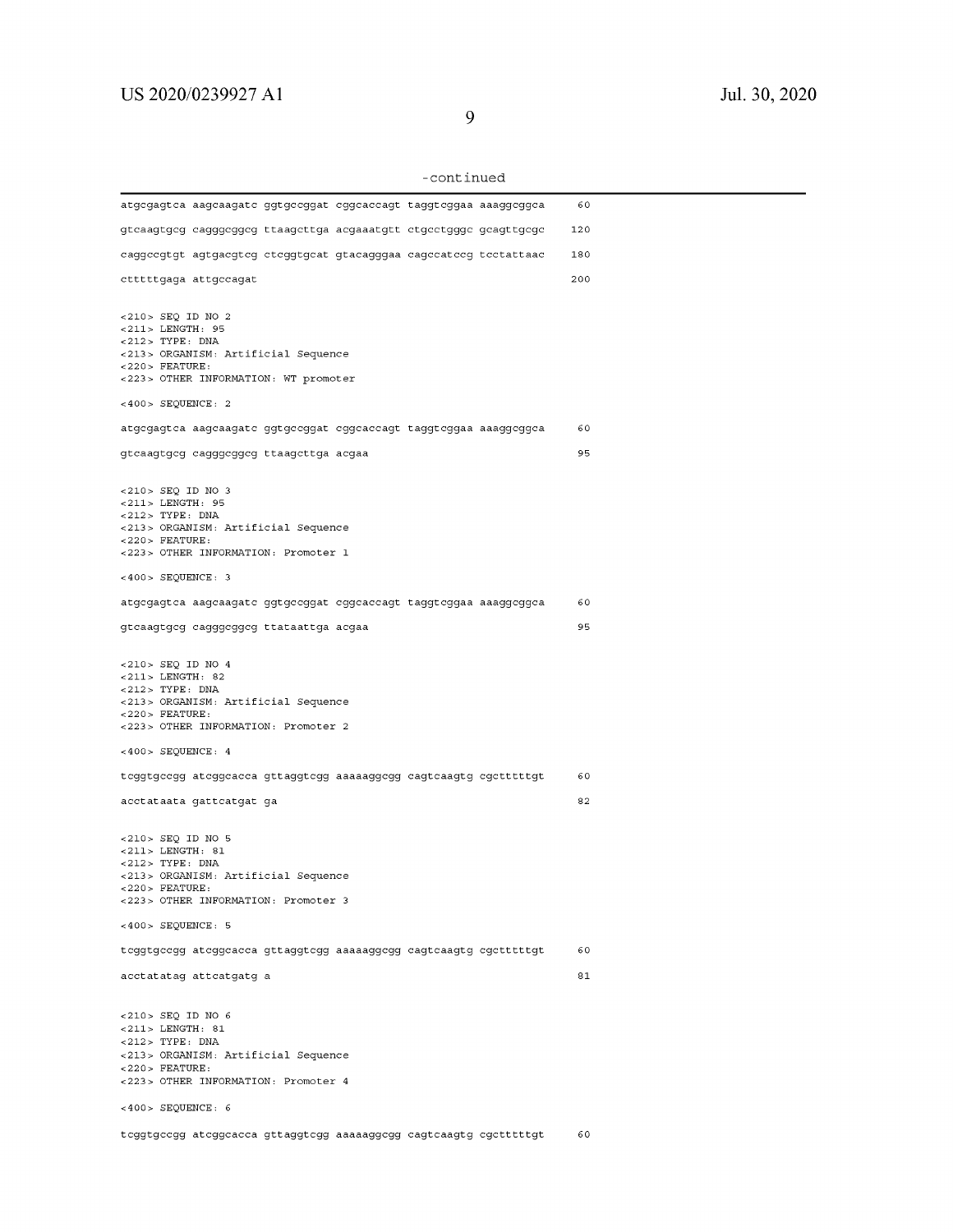| -continued |  |
|------------|--|
|------------|--|

| -continued                                                                                                                                                                                |     |
|-------------------------------------------------------------------------------------------------------------------------------------------------------------------------------------------|-----|
| atgcgagtca aagcaagatc ggtgccggat cggcaccagt taggtcggaa aaaggcggca                                                                                                                         | 60  |
| gtcaagtgcg cagggcggcg ttaagcttga acgaaatgtt ctgcctgggc gcagttgcgc                                                                                                                         | 120 |
| caggccgtgt agtgacgtcg ctcggtgcat gtacagggaa cagccatccg tcctattaac                                                                                                                         | 180 |
| ctttttgaga attgccagat                                                                                                                                                                     | 200 |
| <210> SEQ ID NO 2<br><211> LENGTH: 95<br>$<$ 212> TYPE: DNA<br><213> ORGANISM: Artificial Sequence<br>$<$ 220 > FEATURE:<br><223> OTHER INFORMATION: WT promoter                          |     |
| $<400>$ SEQUENCE: 2                                                                                                                                                                       |     |
| atgcgagtca aagcaagatc ggtgccggat cggcaccagt taggtcggaa aaaggcggca                                                                                                                         | 60  |
| gtcaagtgcg cagggcggcg ttaagcttga acgaa                                                                                                                                                    | 95  |
| <210> SEQ ID NO 3<br><211> LENGTH: 95<br>$<$ 212> TYPE: DNA<br><213> ORGANISM: Artificial Sequence<br>$<$ 220 > FEATURE:<br><223> OTHER INFORMATION: Promoter 1                           |     |
| $<400>$ SEQUENCE: 3                                                                                                                                                                       |     |
| atgcgagtca aagcaagatc ggtgccggat cggcaccagt taggtcggaa aaaggcggca                                                                                                                         | 60  |
| gtcaagtgcg cagggcggcg ttataattga acgaa                                                                                                                                                    | 95  |
| <210> SEQ ID NO 4<br>$< 211$ > LENGTH: 82<br>$<$ 212> TYPE: DNA<br><213> ORGANISM: Artificial Sequence<br>$<$ 220> FEATURE:<br><223> OTHER INFORMATION: Promoter 2                        |     |
| $<400>$ SEQUENCE: 4                                                                                                                                                                       |     |
| teggtgeegg ateggeaeea gttaggtegg aaaaaggegg eagteaagtg egetttttgt                                                                                                                         | 60  |
| acctataata gattcatgat ga                                                                                                                                                                  | 82  |
| $<$ 210 > SEQ ID NO 5<br>$<$ 211> LENGTH: 81<br>$<212>$ TYPE: DNA<br><213> ORGANISM: Artificial Sequence<br>$<$ 220 > FEATURE:<br><223> OTHER INFORMATION: Promoter 3                     |     |
| $<400>$ SEQUENCE: 5                                                                                                                                                                       |     |
| teggtgeegg ateggeaeea gttaggtegg aaaaaggegg eagteaagtg egetttttgt                                                                                                                         | 60  |
| acctatatag attcatgatg a                                                                                                                                                                   | 81  |
| <210> SEQ ID NO 6<br>$<$ 211> LENGTH: 81<br>$<$ 212> TYPE: DNA<br><213> ORGANISM: Artificial Sequence<br>$<$ 220 > FEATURE:<br><223> OTHER INFORMATION: Promoter 4<br>$<400>$ SEQUENCE: 6 |     |
| teggtgeegg ateggeaeea gttaggtegg aaaaaggegg eagteaagtg egetttttgt                                                                                                                         | 60  |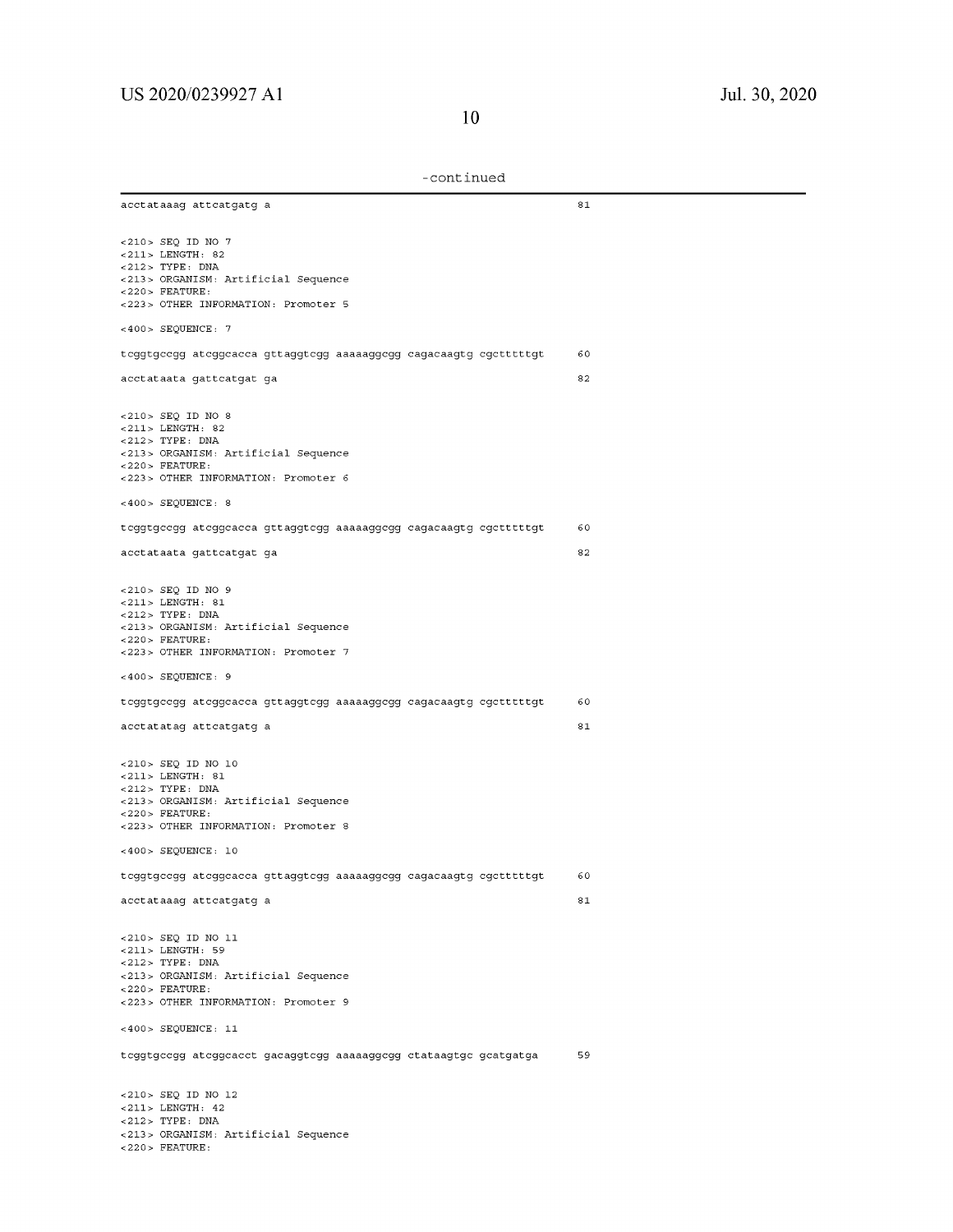-continued

| acctataaag attcatgatg a                                                                                                                                            | 81       |
|--------------------------------------------------------------------------------------------------------------------------------------------------------------------|----------|
| $<$ 210> SEQ ID NO 7<br>$< 211$ > LENGTH: 82<br>$<212>$ TYPE: DNA                                                                                                  |          |
| <213> ORGANISM: Artificial Sequence<br>$<$ 220> FEATURE:                                                                                                           |          |
| <223> OTHER INFORMATION: Promoter 5<br>$<$ 400> SEQUENCE: 7                                                                                                        |          |
| tcggtgccgg atcggcacca gttaggtcgg aaaaaggcgg cagacaagtg cgctttttgt                                                                                                  | 60       |
| acctataata gattcatgat ga                                                                                                                                           | 82       |
|                                                                                                                                                                    |          |
| $<$ 210 > SEQ ID NO 8<br>$<$ 211> LENGTH: 82<br>$<$ 212> TYPE: DNA                                                                                                 |          |
| <213> ORGANISM: Artificial Sequence<br>$<$ 220 > FEATURE:                                                                                                          |          |
| <223> OTHER INFORMATION: Promoter 6                                                                                                                                |          |
| $<400>$ SEQUENCE: 8                                                                                                                                                |          |
| teggtgeegg ateggeacea gttaggtegg aaaaaggegg eagacaagtg egetttttgt                                                                                                  | 60       |
| acctataata gattcatgat ga                                                                                                                                           | 82       |
| <210> SEQ ID NO 9<br>$<$ 211> LENGTH: 81<br>$<212>$ TYPE: DNA<br><213> ORGANISM: Artificial Sequence<br>$<$ 220 > FEATURE:                                         |          |
| <223> OTHER INFORMATION: Promoter 7                                                                                                                                |          |
| $<$ 400> SEQUENCE: 9                                                                                                                                               |          |
| teggtgeegg ateggeaeea gttaggtegg aaaaaggegg eagaeaagtg egetttttgt                                                                                                  | 60<br>81 |
| acctatatag attcatgatg a                                                                                                                                            |          |
| <210> SEQ ID NO 10<br>$<$ 211> LENGTH: 81<br>$<$ 212> TYPE: DNA<br><213> ORGANISM: Artificial Sequence<br>$<$ 220> FEATURE:<br><223> OTHER INFORMATION: Promoter 8 |          |
| $<$ 400> SEQUENCE: 10                                                                                                                                              |          |
| tcggtgccgg atcggcacca gttaggtcgg aaaaaggcgg cagacaagtg cgctttttgt                                                                                                  | 60       |
| acctataaag attcatgatg a                                                                                                                                            | 81       |
| <210> SEQ ID NO 11<br><211> LENGTH: 59<br>$<$ 212> TYPE: DNA                                                                                                       |          |
| <213> ORGANISM: Artificial Sequence                                                                                                                                |          |
| $<$ 220 > FEATURE:<br><223> OTHER INFORMATION: Promoter 9                                                                                                          |          |
| <400> SEQUENCE: 11                                                                                                                                                 |          |
| tcggtgccgg atcggcacct gacaggtcgg aaaaaggcgg ctataagtgc gcatgatga                                                                                                   | 59       |
| $<$ 210> SEQ ID NO 12<br>$< 211$ > LENGTH: 42                                                                                                                      |          |
| $<$ 212> TYPE: DNA                                                                                                                                                 |          |
| <213> ORGANISM: Artificial Sequence                                                                                                                                |          |

 $<$  220 > FEATURE: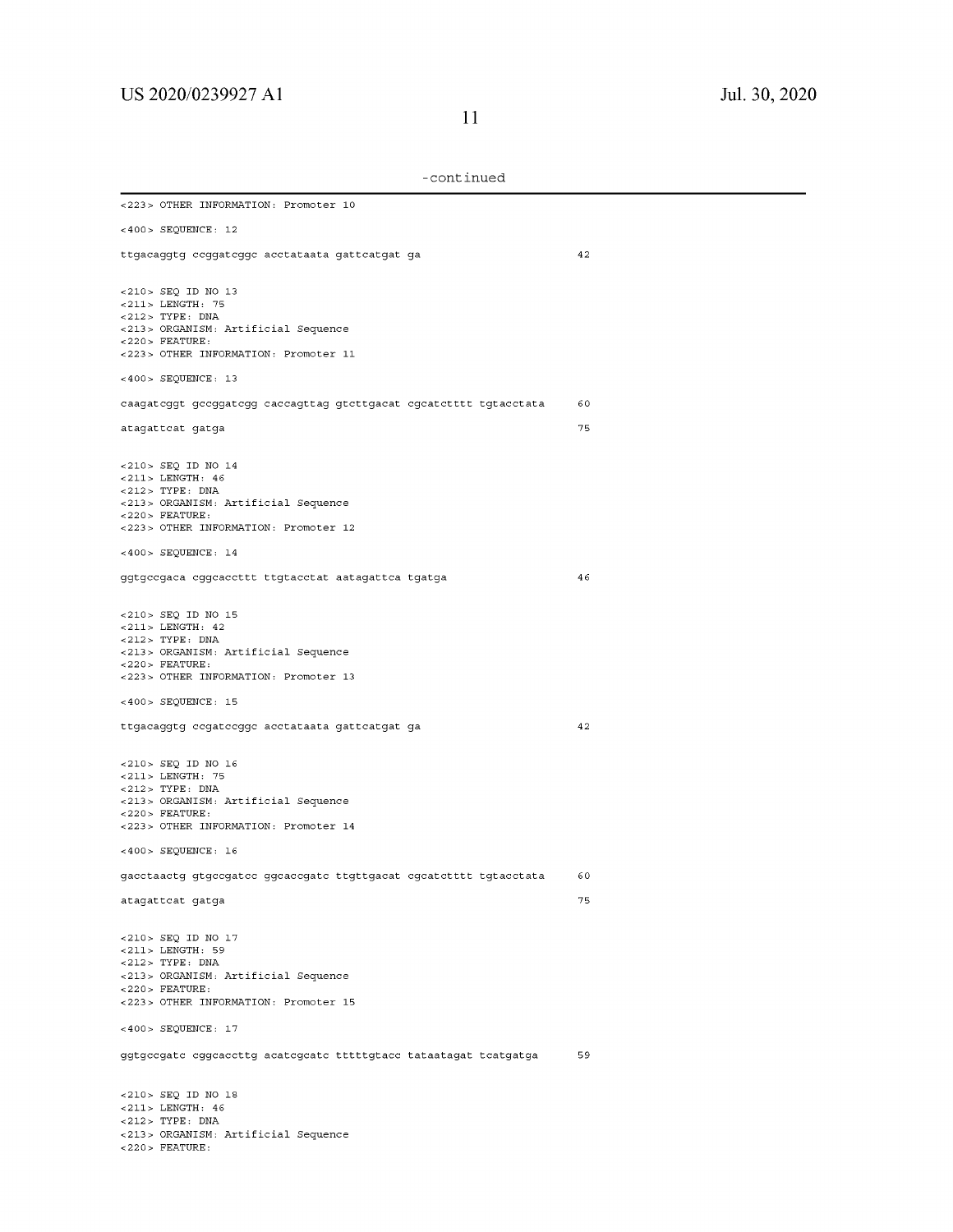| <223> OTHER INFORMATION: Promoter 10                                                                                                                                                      |          |
|-------------------------------------------------------------------------------------------------------------------------------------------------------------------------------------------|----------|
| <400> SEQUENCE: 12                                                                                                                                                                        |          |
| ttgacaggtg ccggatcggc acctataata gattcatgat ga                                                                                                                                            | 42       |
| <210> SEQ ID NO 13<br><211> LENGTH: 75<br>$<$ 212> TYPE: DNA<br><213> ORGANISM: Artificial Sequence<br>$<$ 220 > FEATURE:<br><223> OTHER INFORMATION: Promoter 11                         |          |
| $<400>$ SEQUENCE: 13                                                                                                                                                                      |          |
| caagateggt geeggategg caecagttag gtettgaeat egeatetttt tgtaectata                                                                                                                         | 60       |
| atagattcat gatga                                                                                                                                                                          | 75       |
| <210> SEQ ID NO 14<br><211> LENGTH: 46<br>$<$ 212> TYPE: DNA<br><213> ORGANISM: Artificial Sequence<br>$<$ 220 > FEATURE:<br><223> OTHER INFORMATION: Promoter 12<br>$<400>$ SEQUENCE: 14 |          |
| ggtgccgaca cggcaccttt ttgtacctat aatagattca tgatga                                                                                                                                        | 46       |
| <210> SEQ ID NO 15<br>$< 211 >$ LENGTH: 42<br>$<212>$ TYPE: DNA<br><213> ORGANISM: Artificial Sequence<br>$<$ 220> FEATURE:<br><223> OTHER INFORMATION: Promoter 13                       |          |
| $<400>$ SEQUENCE: 15                                                                                                                                                                      |          |
| ttgacaggtg ccgatccggc acctataata gattcatgat ga                                                                                                                                            | 42       |
| <210> SEQ ID NO 16<br><211> LENGTH: 75<br><212> TYPE: DNA<br><213> ORGANISM: Artificial Sequence<br>$<$ 220 > FEATURE:<br><223> OTHER INFORMATION: Promoter 14                            |          |
| $<400>$ SEQUENCE: 16                                                                                                                                                                      |          |
| gacctaactg gtgccgatcc ggcaccgatc ttgttgacat cgcatctttt tgtacctata<br>atagattcat gatga                                                                                                     | 60<br>75 |
| <210> SEQ ID NO 17<br><211> LENGTH: 59<br>$<$ 212> TYPE: DNA<br><213> ORGANISM: Artificial Sequence<br>$<$ 220 > FEATURE:<br><223> OTHER INFORMATION: Promoter 15                         |          |
| <400> SEQUENCE: 17                                                                                                                                                                        |          |
| ggtgccgatc cggcaccttg acatcgcatc tttttgtacc tataatagat tcatgatga                                                                                                                          | 59       |
| <210> SEQ ID NO 18<br><211> LENGTH: 46<br><212> TYPE: DNA<br><213> ORGANISM: Artificial Sequence<br>$<$ 220 > FEATURE:                                                                    |          |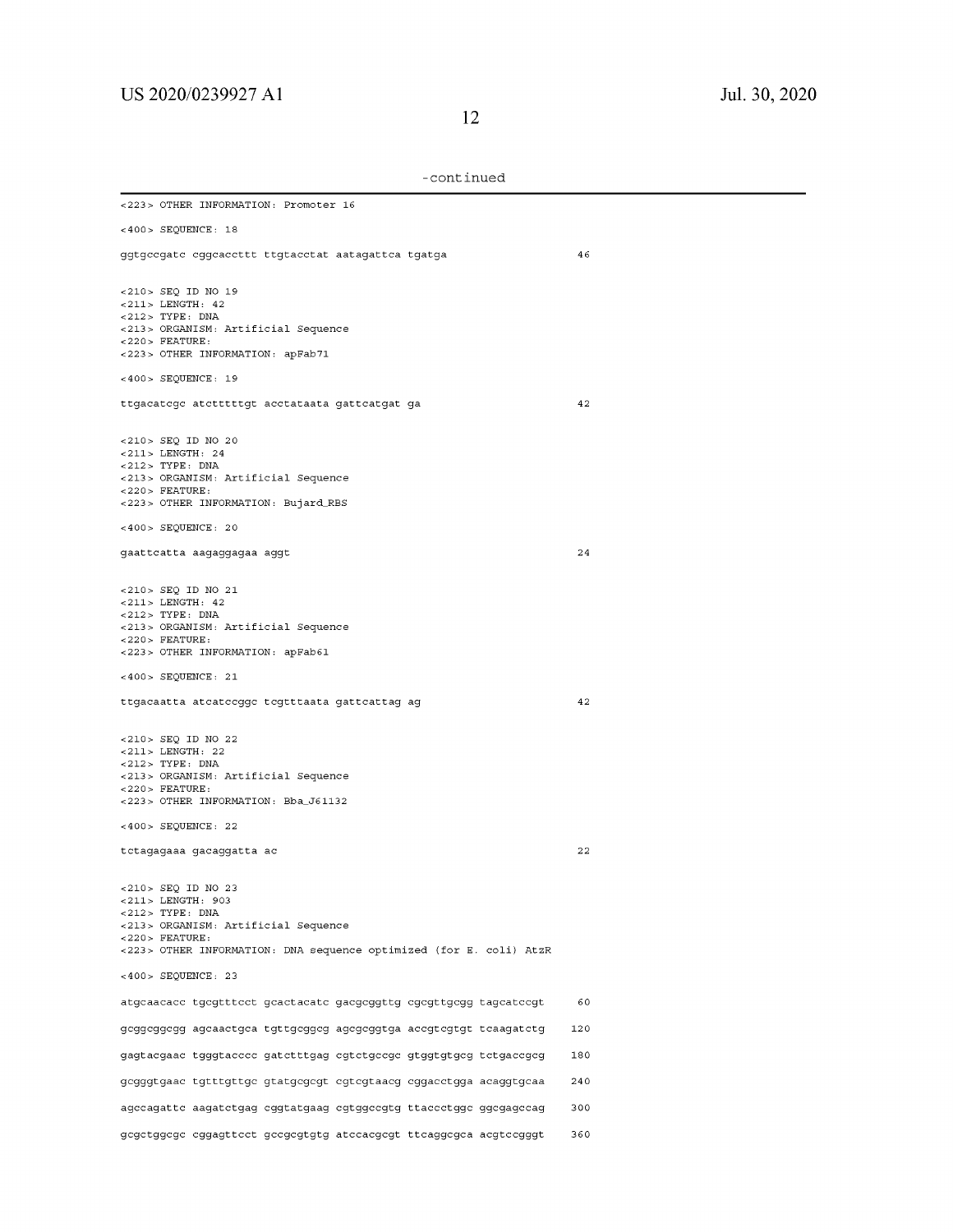| -continued |
|------------|
|------------|

| <223> OTHER INFORMATION: Promoter 16                                                                                                                                                             |     |
|--------------------------------------------------------------------------------------------------------------------------------------------------------------------------------------------------|-----|
| $<400>$ SEQUENCE: 18                                                                                                                                                                             |     |
| ggtgccgatc cggcaccttt ttgtacctat aatagattca tgatga                                                                                                                                               | 46  |
| <210> SEQ ID NO 19<br>$< 211$ > LENGTH: 42<br>$<$ 212> TYPE: DNA<br><213> ORGANISM: Artificial Sequence<br>$<$ 220 > FEATURE:<br><223> OTHER INFORMATION: apFab71                                |     |
| <400> SEQUENCE: 19                                                                                                                                                                               |     |
| ttgacatege atetttttgt acetataata gatteatgat ga                                                                                                                                                   | 42  |
| <210> SEQ ID NO 20<br>$< 211$ > LENGTH: 24<br>$<$ 212> TYPE: DNA<br><213> ORGANISM: Artificial Sequence<br>$<$ 220 > FEATURE:<br><223> OTHER INFORMATION: Bujard_RBS                             |     |
| $<400>$ SEQUENCE: 20                                                                                                                                                                             |     |
| gaattcatta aagaggagaa aggt                                                                                                                                                                       | 24  |
| $<$ 210> SEQ ID NO 21<br>$< 211 >$ LENGTH: 42<br>$<$ 212> TYPE: DNA<br><213> ORGANISM: Artificial Sequence<br>$<$ 220 > FEATURE:<br><223> OTHER INFORMATION: apFab61                             |     |
| $<400>$ SEQUENCE: 21                                                                                                                                                                             |     |
| ttgacaatta atcatccggc tcgtttaata gattcattag ag                                                                                                                                                   | 42  |
| <210> SEQ ID NO 22<br>$< 211 >$ LENGTH: 22<br>$<$ 212> TYPE: DNA<br><213> ORGANISM: Artificial Sequence<br>$<$ 220 > FEATURE:<br><223> OTHER INFORMATION: Bba_J61132<br>$<400>$ SEQUENCE: 22     |     |
| tctagagaaa gacaggatta ac                                                                                                                                                                         | 22  |
| <210> SEQ ID NO 23<br><211> LENGTH: 903<br>$<$ 212> TYPE: DNA<br><213> ORGANISM: Artificial Sequence<br>$<$ 220 > FEATURE:<br><223> OTHER INFORMATION: DNA sequence optimized (for E. coli) AtzR |     |
| $<400>$ SEQUENCE: 23                                                                                                                                                                             |     |
| atgcaacacc tgcgtttcct gcactacatc gacgcggttg cgcgttgcgg tagcatccgt                                                                                                                                | 60  |
| geggeggegg ageaactgea tgttgeggeg agegeggtga aeegtegtgt teaagatetg                                                                                                                                | 120 |
| gagtacgaac tgggtacccc gatctttgag cgtctgccgc gtggtgtgcg tctgaccgcg                                                                                                                                | 180 |
| gcgggtgaac tgtttgttgc gtatgcgcgt cgtcgtaacg cggacctgga acaggtgcaa                                                                                                                                | 240 |
| agccagattc aagatctgag cggtatgaag cgtggccgtg ttaccctggc ggcgagccag                                                                                                                                | 300 |
| gegetggege eggagtteet geegegtgtg ateeaegegt tteaggegea aegteegggt                                                                                                                                | 360 |